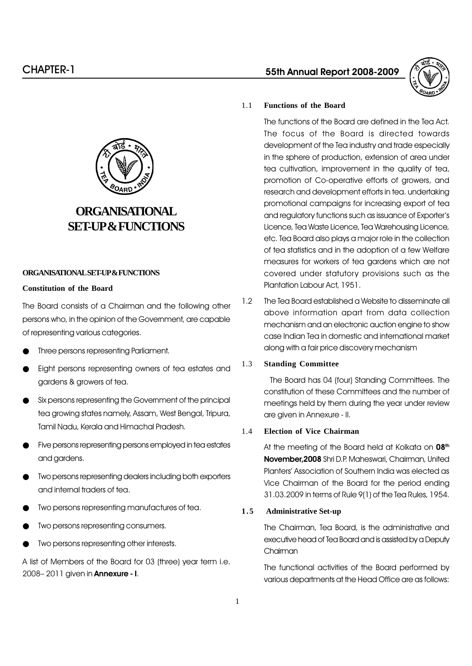

# **ORGANISATIONAL SET-UP & FUNCTIONS**

### **ORGANISATIONAL SET-UP & FUNCTIONS**

#### **Constitution of the Board**

The Board consists of a Chairman and the following other persons who, in the opinion of the Government, are capable of representing various categories.

- Three persons representing Parliament.
- Eight persons representing owners of tea estates and gardens & growers of tea.
- Six persons representing the Government of the principal tea growing states namely, Assam, West Bengal, Tripura, Tamil Nadu, Kerala and Himachal Pradesh.
- Five persons representing persons employed in tea estates and gardens.
- Two persons representing dealers including both exporters and internal traders of tea.
- Two persons representing manufactures of tea.
- Two persons representing consumers.
- Two persons representing other interests.

A list of Members of the Board for 03 (three) year term i.e. 2008 - 2011 given in **Annexure - I**.

# 55th Annual Report 2008-2009



# 1.1 **Functions of the Board**

The functions of the Board are defined in the Tea Act. The focus of the Board is directed towards development of the Tea industry and trade especially in the sphere of production, extension of area under tea cultivation, improvement in the quality of tea, promotion of Co-operative efforts of growers, and research and development efforts in tea. undertaking promotional campaigns for increasing export of tea and regulatory functions such as issuance of Exporter's Licence, Tea Waste Licence, Tea Warehousing Licence, etc. Tea Board also plays a major role in the collection of tea statistics and in the adoption of a few Welfare measures for workers of tea gardens which are not covered under statutory provisions such as the Plantation Labour Act, 1951.

1.2 The Tea Board established a Website to disseminate all above information apart from data collection mechanism and an electronic auction engine to show case Indian Tea in domestic and international market along with a fair price discovery mechanism

# 1.3 **Standing Committee**

The Board has 04 (four) Standing Committees. The constitution of these Committees and the number of meetings held by them during the year under review are given in Annexure - II.

# 1.4 **Election of Vice Chairman**

At the meeting of the Board held at Kolkata on 08<sup>th</sup> November,2008 Shri D.P. Maheswari, Chairman, United Planters' Association of Southern India was elected as Vice Chairman of the Board for the period ending 31.03.2009 in terms of Rule 9(1) of the Tea Rules, 1954.

#### **1 . 5 Administrative Set-up**

The Chairman, Tea Board, is the administrative and executive head of Tea Board and is assisted by a Deputy Chairman

The functional activities of the Board performed by various departments at the Head Office are as follows: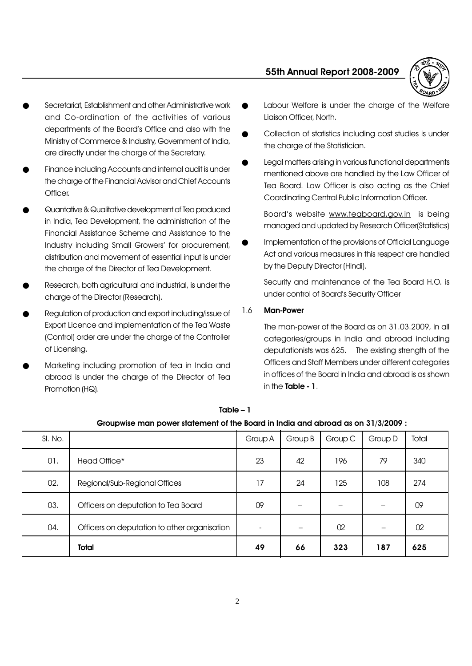

- Secretariat, Establishment and other Administrative work and Co-ordination of the activities of various departments of the Board's Office and also with the Ministry of Commerce & Industry, Government of India, are directly under the charge of the Secretary.
- Finance including Accounts and internal audit is under the charge of the Financial Advisor and Chief Accounts Officer.
- Quantative & Qualitative development of Tea produced in India, Tea Development, the administration of the Financial Assistance Scheme and Assistance to the Industry including Small Growers' for procurement, distribution and movement of essential input is under the charge of the Director of Tea Development.
- Research, both agricultural and industrial, is under the charge of the Director (Research).
- Regulation of production and export including/issue of Export Licence and implementation of the Tea Waste (Control) order are under the charge of the Controller of Licensing.
- Marketing including promotion of tea in India and abroad is under the charge of the Director of Tea Promotion (HQ).
- Labour Welfare is under the charge of the Welfare Liaison Officer, North.
- Collection of statistics including cost studies is under the charge of the Statistician.
- Legal matters arising in various functional departments mentioned above are handled by the Law Officer of Tea Board. Law Officer is also acting as the Chief Coordinating Central Public Information Officer.

Board's website www.teaboard.gov.in is being managed and updated by Research Officer(Statistics)

Implementation of the provisions of Official Language Act and various measures in this respect are handled by the Deputy Director (Hindi).

Security and maintenance of the Tea Board H.O. is under control of Board's Security Officer

# 1.6 Man-Power

The man-power of the Board as on 31.03.2009, in all categories/groups in India and abroad including deputationists was 625. The existing strength of the Officers and Staff Members under different categories in offices of the Board in India and abroad is as shown in the Table - 1.

| SI. No. |                                              | Group A | Group B | Group C | Group D | Total |
|---------|----------------------------------------------|---------|---------|---------|---------|-------|
| 01.     | Head Office*                                 | 23      | 42      | 196     | 79      | 340   |
| 02.     | Regional/Sub-Regional Offices                | 17      | 24      | 125     | 108     | 274   |
| 03.     | Officers on deputation to Tea Board          | 09      |         |         |         | 09    |
| 04.     | Officers on deputation to other organisation |         |         | 02      |         | 02    |
|         | Total                                        | 49      | 66      | 323     | 187     | 625   |

 $Table - 1$ 

|  | Groupwise man power statement of the Board in India and abroad as on 31/3/2009 : |
|--|----------------------------------------------------------------------------------|
|  |                                                                                  |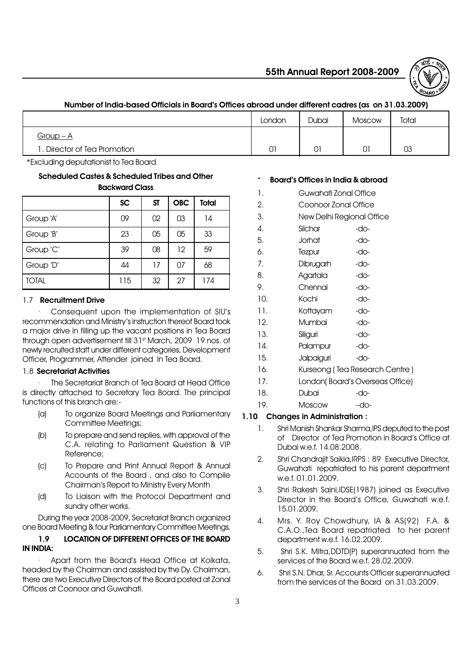

# Number of India-based Officials in Board's Offices abroad under different cadres (as on 31.03.2009)

|                             | London | Dubai | <b>Moscow</b> | Total |
|-----------------------------|--------|-------|---------------|-------|
| Group $-A$                  |        |       |               |       |
| . Director of Tea Promotion | 01     | 01    | 01            | 03    |

\*Excluding deputationist to Tea Board

#### Scheduled Castes & Scheduled Tribes and Other Backward Class

|              | <b>SC</b> | <b>ST</b> | <b>OBC</b> | Total |
|--------------|-----------|-----------|------------|-------|
| Group 'A'    | 09        | 02        | 03         | 14    |
| Group 'B'    | 23        | 05        | 05         | 33    |
| Group 'C'    | 39        | 08        | 12         | 59    |
| Group 'D'    | 44        | 17        | 07         | 68    |
| <b>TOTAL</b> | 115       | 32        | 27         | 174   |

# 1.7 Recruitment Drive

Consequent upon the implementation of SIU's recommendation and Ministry's instruction thereof Board took a major drive in filling up the vacant positions in Tea Board through open advertisement till 31<sup>st</sup> March, 2009 19 nos. of newly recruited staff under different categories, Development Officer, Programmer, Attender joined In Tea Board.

# 1.8 Secretariat Activities

The Secretariat Branch of Tea Board at Head Office is directly attached to Secretary Tea Board. The principal functions of this branch are:-

- (a) To organize Board Meetings and Parliamentary Committee Meetings;
- (b) To prepare and send replies, with approval of the C.A. relating to Parliament Question & VIP Reference;
- (c) To Prepare and Print Annual Report & Annual Accounts of the Board , and also to Compile Chairman's Report to Ministry Every Month
- (d) To Liaison with the Protocol Department and sundry other works.

During the year 2008-2009, Secretariat Branch organized one Board Meeting & four Parliamentary Committee Meetings.

# 1.9 LOCATION OF DIFFERENT OFFICES OF THE BOARD IN INDIA:

Apart from the Board's Head Office at Kolkata, headed by the Chairman and assisted by the Dy. Chairman, there are two Executive Directors of the Board posted at Zonal Offices at Coonoor and Guwahati.

# · Board's Offices in India & abroad

|     | Board's Offices in India & aproad |      |
|-----|-----------------------------------|------|
| 1.  | Guwahati Zonal Office             |      |
| 2.  | Coonoor Zonal Office              |      |
| 3.  | New Delhi Regional Office         |      |
| 4.  | Silchar                           | -do- |
| 5.  | Jorhat                            | -do- |
| 6.  | Tezpur                            | -do- |
| 7.  | Dibrugarh                         | -do- |
| 8.  | Agartala                          | -do- |
| 9.  | Chennai                           | -do- |
| 10. | Kochi                             | -do- |
| 11. | Kottayam                          | -do- |
| 12. | Mumbai                            | -do- |
| 13. | Siliguri                          | -do- |
| 14. | Palampur                          | -do- |

- 15. Jalpaiguri -do-
- 16. Kurseong (Tea Research Centre)
- 17. Londoní Board's Overseas Office)
- 18. Dubai -do-
- 19. Moscow -do-

# 1.10 Changes in Administration :

- 1. Shri Manish Shankar Sharma,IPS deputed to the post of Director of Tea Promotion in Board's Office at Dubai w.e.f. 14.08.2008.
- 2. Shri Chandraiit Saikia, IRPS : 89 Executive Director, Guwahati repatriated to his parent department w.e.f. 01.01.2009.
- 3. Shri Rakesh Saini,IDSE(1987) joined as Executive Director in the Board's Office, Guwahati w.e.f. 15.01.2009.
- 4. Mrs. Y. Roy Chowdhury, IA & AS(92) F.A. & C.A.O.,Tea Board repatriated to her parent department w.e.f. 16.02.2009.
- 5. Shri S.K. Mitra,DDTD(P) superannuated from the services of the Board w.e.f. 28.02.2009.
- 6. Shri S.N. Dhar, Sr. Accounts Officer superannuated from the services of the Board on 31.03.2009.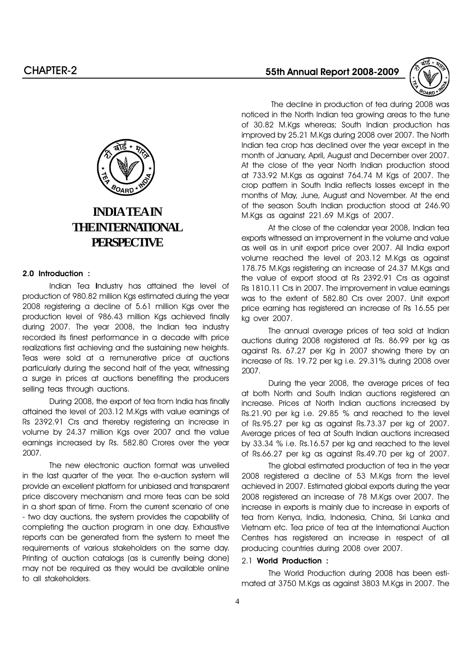

 The decline in production of tea during 2008 was noticed in the North Indian tea growing areas to the tune of 30.82 M.Kgs whereas; South Indian production has improved by 25.21 M.Kgs during 2008 over 2007. The North Indian tea crop has declined over the year except in the month of January, April, August and December over 2007. At the close of the year North Indian production stood at 733.92 M.Kgs as against 764.74 M Kgs of 2007. The crop pattern in South India reflects losses except in the months of May, June, August and November. At the end of the season South Indian production stood at 246.90 M.Kgs as against 221.69 M.Kgs of 2007.

At the close of the calendar year 2008, Indian tea exports witnessed an improvement in the volume and value as well as in unit export price over 2007. All India export volume reached the level of 203.12 M.Kgs as against 178.75 M.Kgs registering an increase of 24.37 M.Kgs and the value of export stood at Rs 2392.91 Crs as against Rs 1810.11 Crs in 2007. The improvement in value earnings was to the extent of 582.80 Crs over 2007. Unit export price earning has registered an increase of Rs 16.55 per kg over 2007.

The annual average prices of tea sold at Indian auctions during 2008 registered at Rs. 86.99 per kg as against Rs. 67.27 per Kg in 2007 showing there by an increase of Rs. 19.72 per kg i.e. 29.31% during 2008 over 2007.

During the year 2008, the average prices of tea at both North and South Indian auctions registered an increase. Prices at North Indian auctions increased by Rs.21.90 per kg i.e. 29.85 % and reached to the level of Rs.95.27 per kg as against Rs.73.37 per kg of 2007. Average prices of tea at South Indian auctions increased by 33.34 % i.e. Rs.16.57 per kg and reached to the level of Rs.66.27 per kg as against Rs.49.70 per kg of 2007.

The global estimated production of tea in the year 2008 registered a decline of 53 M.Kgs from the level achieved in 2007. Estimated global exports during the year 2008 registered an increase of 78 M.Kgs over 2007. The increase in exports is mainly due to increase in exports of tea from Kenya, India, Indonesia, China, Sri Lanka and Vietnam etc. Tea price of tea at the International Auction Centres has registered an increase in respect of all producing countries during 2008 over 2007.

# 2.1 World Production :

The World Production during 2008 has been estimated at 3750 M.Kgs as against 3803 M.Kgs in 2007. The



# **INDIA TEA IN THE INTERNATIONAL PERSPECTIVE**

#### 2.0 Introduction :

Indian Tea Industry has attained the level of production of 980.82 million Kgs estimated during the year 2008 registering a decline of 5.61 million Kgs over the production level of 986.43 million Kgs achieved finally during 2007. The year 2008, the Indian tea industry recorded its finest performance in a decade with price realizations first achieving and the sustaining new heights. Teas were sold at a remunerative price at auctions particularly during the second half of the year, witnessing a surge in prices at auctions benefiting the producers selling teas through auctions.

During 2008, the export of tea from India has finally attained the level of 203.12 M.Kgs with value earnings of Rs 2392.91 Crs and thereby registering an increase in volume by 24.37 million Kgs over 2007 and the value earnings increased by Rs. 582.80 Crores over the year 2007.

The new electronic auction format was unveiled in the last quarter of the year. The e-auction system will provide an excellent platform for unbiased and transparent price discovery mechanism and more teas can be sold in a short span of time. From the current scenario of one - two day auctions, the system provides the capability of completing the auction program in one day. Exhaustive reports can be generated from the system to meet the requirements of various stakeholders on the same day. Printing of auction catalogs (as is currently being done) may not be required as they would be available online to all stakeholders.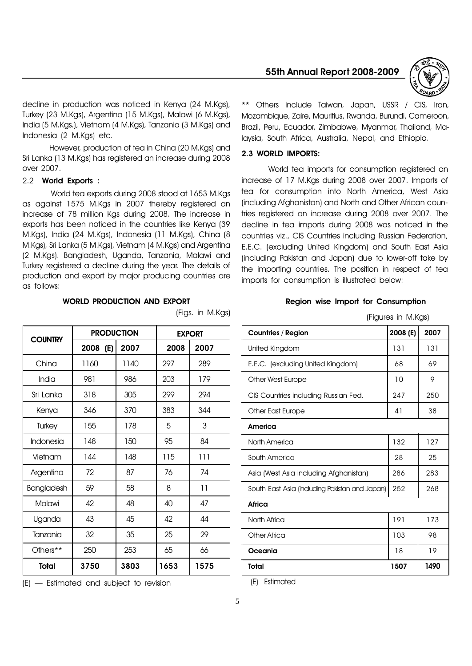decline in production was noticed in Kenya (24 M.Kgs), Turkey (23 M.Kgs), Argentina (15 M.Kgs), Malawi (6 M.Kgs), India (5 M.Kgs.), Vietnam (4 M.Kgs), Tanzania (3 M.Kgs) and Indonesia (2 M.Kgs) etc.

However, production of tea in China (20 M.Kgs) and Sri Lanka (13 M.Kgs) has registered an increase during 2008 over 2007.

#### 2.2 World Exports :

World tea exports during 2008 stood at 1653 M.Kgs as against 1575 M.Kgs in 2007 thereby registered an increase of 78 million Kgs during 2008. The increase in exports has been noticed in the countries like Kenya (39 M.Kgs), India (24 M.Kgs), Indonesia (11 M.Kgs), China (8 M.Kgs), Sri Lanka (5 M.Kgs), Vietnam (4 M.Kgs) and Argentina (2 M.Kgs). Bangladesh, Uganda, Tanzania, Malawi and Turkey registered a decline during the year. The details of production and export by major producing countries are as follows:

#### WORLD PRODUCTION AND EXPORT

| <b>COUNTRY</b> | <b>PRODUCTION</b> |      |      | <b>EXPORT</b> |
|----------------|-------------------|------|------|---------------|
|                | 2008<br>(E)       | 2007 | 2008 | 2007          |
| China          | 1160              | 1140 | 297  | 289           |
| India          | 981               | 986  | 203  | 179           |
| Sri Lanka      | 318               | 305  | 299  | 294           |
| Kenya          | 346               | 370  | 383  | 344           |
| <b>Turkey</b>  | 155               | 178  | 5    | 3             |
| Indonesia      | 148               | 150  | 95   | 84            |
| Vietnam        | 144               | 148  | 115  | 111           |
| Argentina      | 72                | 87   | 76   | 74            |
| Bangladesh     | 59                | 58   | 8    | 11            |
| Malawi         | 42                | 48   | 40   | 47            |
| Uganda         | 43                | 45   | 42   | 44            |
| Tanzania       | 32                | 35   | 25   | 29            |
| Others**       | 250               | 253  | 65   | 66            |
| <b>Total</b>   | 3750              | 3803 | 1653 | 1575          |

(Figs. in M.Kgs)

\*\* Others include Taiwan, Japan, USSR / CIS, Iran,

55th Annual Report 2008-2009

Mozambique, Zaire, Mauritius, Rwanda, Burundi, Cameroon, Brazil, Peru, Ecuador, Zimbabwe, Myanmar, Thailand, Malaysia, South Africa, Australia, Nepal, and Ethiopia.

#### 2.3 WORLD IMPORTS:

World tea imports for consumption registered an increase of 17 M.Kgs during 2008 over 2007. Imports of tea for consumption into North America, West Asia (including Afghanistan) and North and Other African countries registered an increase during 2008 over 2007. The decline in tea imports during 2008 was noticed in the countries viz., CIS Countries including Russian Federation, E.E.C. (excluding United Kingdom) and South East Asia (including Pakistan and Japan) due to lower-off take by the importing countries. The position in respect of tea imports for consumption is illustrated below:

#### Region wise Import for Consumption

(Figures in M.Kgs)

| <b>Countries / Region</b>                      | 2008 (E) | 2007 |
|------------------------------------------------|----------|------|
| United Kingdom                                 | 131      | 131  |
| E.E.C. (excluding United Kingdom)              | 68       | 69   |
| Other West Europe                              | 10       | 9    |
| CIS Countries including Russian Fed.           | 247      | 250  |
| Other East Europe                              | 41       | 38   |
| America                                        |          |      |
| North America                                  | 132      | 127  |
| South America                                  | 28       | 25   |
| Asia (West Asia including Afghanistan)         | 286      | 283  |
| South East Asia (including Pakistan and Japan) | 252      | 268  |
| Africa                                         |          |      |
| North Africa                                   | 191      | 173  |
| Other Africa                                   | 103      | 98   |
| Oceania                                        | 18       | 19   |
| Total                                          | 1507     | 1490 |

(E) Estimated

|  | $(E)$ - Estimated and subject to revision |
|--|-------------------------------------------|
|--|-------------------------------------------|

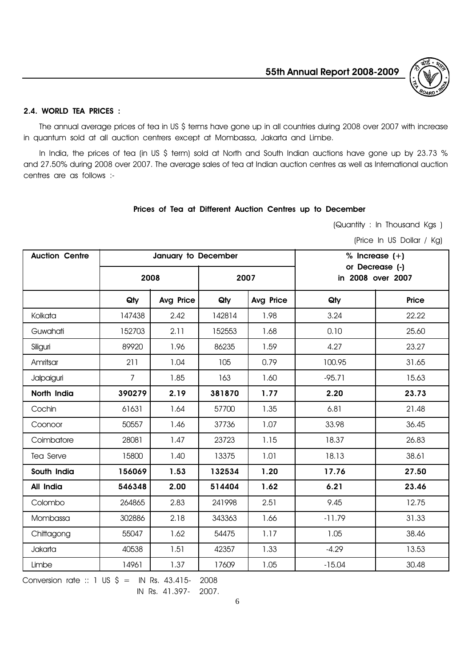

#### 2.4. WORLD TEA PRICES :

The annual average prices of tea in US \$ terms have gone up in all countries during 2008 over 2007 with increase in quantum sold at all auction centrers except at Mombassa, Jakarta and Limbe.

In India, the prices of tea (in US \$ term) sold at North and South Indian auctions have gone up by 23.73 % and 27.50% during 2008 over 2007. The average sales of tea at Indian auction centres as well as International auction centres are as follows :-

#### Prices of Tea at Different Auction Centres up to December

(Quantity : In Thousand Kgs )

(Price In US Dollar / Kg)

| <b>Auction Centre</b> |                | January to December |        |                  |          | % Increase $(+)$                     |  |  |
|-----------------------|----------------|---------------------|--------|------------------|----------|--------------------------------------|--|--|
|                       |                | 2008<br>2007        |        |                  |          | or Decrease (-)<br>in 2008 over 2007 |  |  |
|                       | Qty            | <b>Avg Price</b>    | Qty    | <b>Avg Price</b> | Qty      | Price                                |  |  |
| Kolkata               | 147438         | 2.42                | 142814 | 1.98             | 3.24     | 22.22                                |  |  |
| Guwahati              | 152703         | 2.11                | 152553 | 1.68             | 0.10     | 25.60                                |  |  |
| Siliguri              | 89920          | 1.96                | 86235  | 1.59             | 4.27     | 23.27                                |  |  |
| Amritsar              | 211            | 1.04                | 105    | 0.79             | 100.95   | 31.65                                |  |  |
| Jalpaiguri            | $\overline{7}$ | 1.85                | 163    | 1.60             | $-95.71$ | 15.63                                |  |  |
| North India           | 390279         | 2.19                | 381870 | 1.77             | 2.20     | 23.73                                |  |  |
| Cochin                | 61631          | 1.64                | 57700  | 1.35             | 6.81     | 21.48                                |  |  |
| Coonoor               | 50557          | 1.46                | 37736  | 1.07             | 33.98    | 36.45                                |  |  |
| Coimbatore            | 28081          | 1.47                | 23723  | 1.15             | 18.37    | 26.83                                |  |  |
| Tea Serve             | 15800          | 1.40                | 13375  | 1.01             | 18.13    | 38.61                                |  |  |
| South India           | 156069         | 1.53                | 132534 | 1.20             | 17.76    | 27.50                                |  |  |
| All India             | 546348         | 2.00                | 514404 | 1.62             | 6.21     | 23.46                                |  |  |
| Colombo               | 264865         | 2.83                | 241998 | 2.51             | 9.45     | 12.75                                |  |  |
| Mombassa              | 302886         | 2.18                | 343363 | 1.66             | $-11.79$ | 31.33                                |  |  |
| Chittagong            | 55047          | 1.62                | 54475  | 1.17             | 1.05     | 38.46                                |  |  |
| Jakarta               | 40538          | 1.51                | 42357  | 1.33             | $-4.29$  | 13.53                                |  |  |
| Limbe                 | 14961          | 1.37                | 17609  | 1.05             | $-15.04$ | 30.48                                |  |  |

Conversion rate :: 1 US  $\frac{1}{5}$  = IN Rs. 43.415- 2008

IN Rs. 41.397- 2007.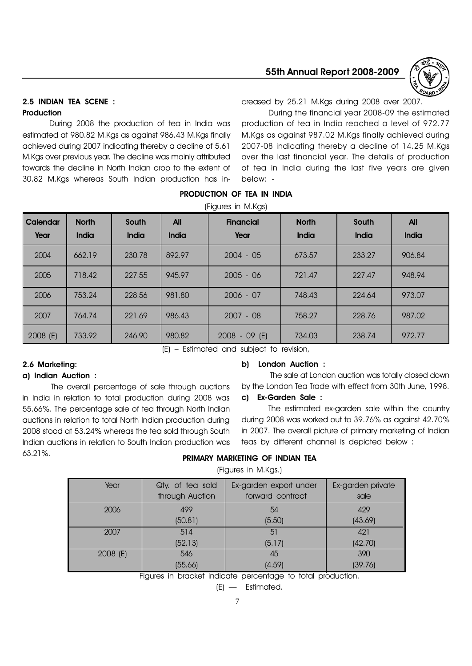

# 2.5 INDIAN TEA SCENE : **Production**

creased by 25.21 M.Kgs during 2008 over 2007.

During 2008 the production of tea in India was estimated at 980.82 M.Kgs as against 986.43 M.Kgs finally achieved during 2007 indicating thereby a decline of 5.61 M.Kgs over previous year. The decline was mainly attributed towards the decline in North Indian crop to the extent of 30.82 M.Kgs whereas South Indian production has in-During the financial year 2008-09 the estimated production of tea in India reached a level of 972.77 M.Kgs as against 987.02 M.Kgs finally achieved during 2007-08 indicating thereby a decline of 14.25 M.Kgs over the last financial year. The details of production of tea in India during the last five years are given below: -

|                  |                       |                       |                     | (Figures in M.Kgs)       |                       |                       |                     |
|------------------|-----------------------|-----------------------|---------------------|--------------------------|-----------------------|-----------------------|---------------------|
| Calendar<br>Year | <b>North</b><br>India | South<br><b>India</b> | <b>All</b><br>India | <b>Financial</b><br>Year | <b>North</b><br>India | South<br><b>India</b> | <b>All</b><br>India |
| 2004             | 662.19                | 230.78                | 892.97              | $2004 - 05$              | 673.57                | 233.27                | 906.84              |
| 2005             | 718.42                | 227.55                | 945.97              | $2005 - 06$              | 721.47                | 227.47                | 948.94              |
| 2006             | 753.24                | 228,56                | 981.80              | $2006 - 07$              | 748.43                | 224.64                | 973.07              |
| 2007             | 764.74                | 221.69                | 986.43              | $2007 - 08$              | 758.27                | 228.76                | 987.02              |
| 2008 (E)         | 733.92                | 246.90                | 980.82              | $2008 - 09$ (E)          | 734.03                | 238.74                | 972.77              |

PRODUCTION OF TEA IN INDIA

(E) Estimated and subject to revision,

# 2.6 Marketing:

#### a) Indian Auction :

The overall percentage of sale through auctions in India in relation to total production during 2008 was 55.66%. The percentage sale of tea through North Indian auctions in relation to total North Indian production during 2008 stood at 53.24% whereas the tea sold through South Indian auctions in relation to South Indian production was 63.21%.

#### b) London Auction :

The sale at London auction was totally closed down by the London Tea Trade with effect from 30th June, 1998. c) Ex-Garden Sale :

The estimated ex-garden sale within the country during 2008 was worked out to 39.76% as against 42.70% in 2007. The overall picture of primary marketing of Indian teas by different channel is depicted below :

### PRIMARY MARKETING OF INDIAN TEA

(Figures in M.Kgs.)

| Year     | Qty. of tea sold<br>through Auction | Ex-garden export under<br>forward contract | Ex-garden private<br>sale |
|----------|-------------------------------------|--------------------------------------------|---------------------------|
| 2006     | 499                                 | 54                                         | 429                       |
|          | (50.81)                             | (5.50)                                     | (43.69)                   |
| 2007     | 514                                 | 51                                         | 421                       |
|          | (52.13)                             | (5.17)                                     | (42.70)                   |
| 2008 (E) | 546                                 | 45                                         | 390                       |
|          | (55.66)                             | (4.59)                                     | (39.76)                   |

Figures in bracket indicate percentage to total production.

 $(E)$  - Estimated.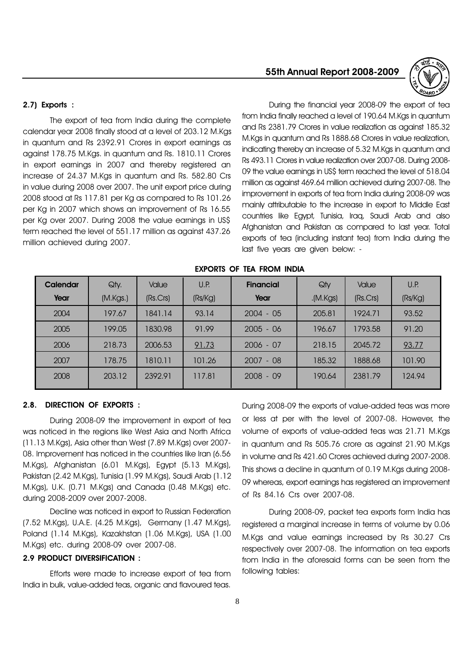### 2.7) Exports :

The export of tea from India during the complete calendar year 2008 finally stood at a level of 203.12 M.Kgs in quantum and Rs 2392.91 Crores in export earnings as against 178.75 M.Kgs. in quantum and Rs. 1810.11 Crores in export earnings in 2007 and thereby registered an increase of 24.37 M.Kgs in quantum and Rs. 582.80 Crs in value during 2008 over 2007. The unit export price during 2008 stood at Rs 117.81 per Kg as compared to Rs 101.26 per Kg in 2007 which shows an improvement of Rs 16.55 per Kg over 2007. During 2008 the value earnings in US\$ term reached the level of 551.17 million as against 437.26 million achieved during 2007.

# 55th Annual Report 2008-2009



During the financial year 2008-09 the export of tea from India finally reached a level of 190.64 M.Kgs in quantum and Rs 2381.79 Crores in value realization as against 185.32 M.Kgs in quantum and Rs 1888.68 Crores in value realization, indicating thereby an increase of 5.32 M.Kgs in quantum and Rs 493.11 Crores in value realization over 2007-08. During 2008- 09 the value earnings in US\$ term reached the level of 518.04 million as against 469.64 million achieved during 2007-08. The improvement in exports of tea from India during 2008-09 was mainly attributable to the increase in export to Middle East countries like Egypt, Tunisia, Iraq, Saudi Arab and also Afghanistan and Pakistan as compared to last year. Total exports of tea (including instant tea) from India during the last five years are given below: -

| Calendar | Qty.     | <b>Value</b> | U.P.    | <b>Financial</b> | Qty     | <b>Value</b> | U.P.    |
|----------|----------|--------------|---------|------------------|---------|--------------|---------|
| Year     | (M.Kgs.) | (Rs.Crs)     | (Rs/Kg) | Year             | (M.Kgs) | (Rs.Crs)     | (Rs/Kg) |
| 2004     | 197.67   | 1841.14      | 93.14   | $2004 - 05$      | 205.81  | 1924.71      | 93.52   |
| 2005     | 199.05   | 1830.98      | 91.99   | $2005 - 06$      | 196.67  | 1793.58      | 91.20   |
| 2006     | 218.73   | 2006.53      | 91.73   | $2006 - 07$      | 218.15  | 2045.72      | 93.77   |
| 2007     | 178.75   | 1810.11      | 101.26  | $2007 - 08$      | 185.32  | 1888.68      | 101.90  |
| 2008     | 203.12   | 2392.91      | 117.81  | $2008 - 09$      | 190.64  | 2381.79      | 124.94  |

#### EXPORTS OF TEA FROM INDIA

#### 2.8. DIRECTION OF EXPORTS :

During 2008-09 the improvement in export of tea was noticed in the regions like West Asia and North Africa (11.13 M.Kgs), Asia other than West (7.89 M.Kgs) over 2007- 08. Improvement has noticed in the countries like Iran (6.56 M.Kgs), Afghanistan (6.01 M.Kgs), Egypt (5.13 M.Kgs), Pakistan (2.42 M.Kgs), Tunisia (1.99 M.Kgs), Saudi Arab (1.12 M.Kgs), U.K. (0.71 M.Kgs) and Canada (0.48 M.Kgs) etc. during 2008-2009 over 2007-2008.

Decline was noticed in export to Russian Federation (7.52 M.Kgs), U.A.E. (4.25 M.Kgs), Germany (1.47 M.Kgs), Poland (1.14 M.Kgs), Kazakhstan (1.06 M.Kgs), USA (1.00 M.Kgs) etc. during 2008-09 over 2007-08.

#### 2.9 PRODUCT DIVERSIFICATION :

Efforts were made to increase export of tea from India in bulk, value-added teas, organic and flavoured teas.

During 2008-09 the exports of value-added teas was more or less at per with the level of 2007-08. However, the volume of exports of value-added teas was 21.71 M.Kgs in quantum and Rs 505.76 crore as against 21.90 M.Kgs in volume and Rs 421.60 Crores achieved during 2007-2008. This shows a decline in quantum of 0.19 M.Kgs during 2008- 09 whereas, export earnings has registered an improvement of Rs 84.16 Crs over 2007-08.

During 2008-09, packet tea exports form India has registered a marginal increase in terms of volume by 0.06 M.Kgs and value earnings increased by Rs 30.27 Crs respectively over 2007-08. The information on tea exports from India in the aforesaid forms can be seen from the following tables: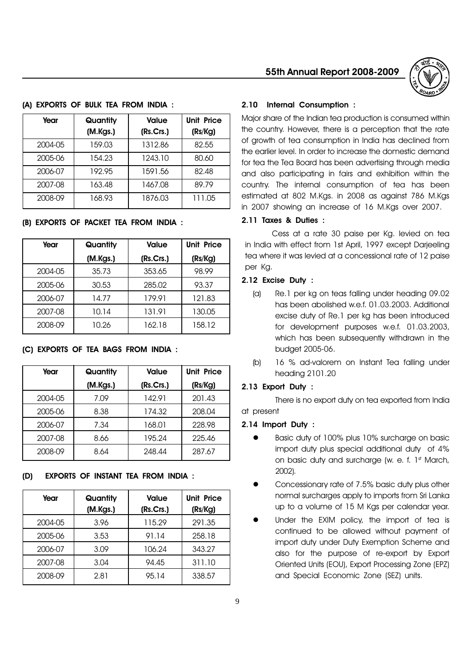| Year    | Quantity<br>(M.Kgs.) | <b>Value</b><br>(Rs.Crs.) | <b>Unit Price</b><br>(Rs/Kg) |
|---------|----------------------|---------------------------|------------------------------|
| 2004-05 | 159.03               | 1312.86                   | 82.55                        |
| 2005-06 | 154.23               | 1243.10                   | 80.60                        |
| 2006-07 | 192.95               | 1591.56                   | 82.48                        |
| 2007-08 | 163.48               | 1467.08                   | 89.79                        |
| 2008-09 | 168.93               | 1876.03                   | 111.05                       |

#### (A) EXPORTS OF BULK TEA FROM INDIA :

#### (B) EXPORTS OF PACKET TEA FROM INDIA :

| Year    | Quantity | <b>Value</b> | <b>Unit Price</b> |
|---------|----------|--------------|-------------------|
|         | (M.Kgs.) | (Rs.Crs.)    | (Rs/Kg)           |
| 2004-05 | 35.73    | 353.65       | 98.99             |
| 2005-06 | 30.53    | 285.02       | 93.37             |
| 2006-07 | 14.77    | 179.91       | 121.83            |
| 2007-08 | 10.14    | 131.91       | 130.05            |
| 2008-09 | 10.26    | 162.18       | 158.12            |

#### (C) EXPORTS OF TEA BAGS FROM INDIA :

| Year    | Quantity | <b>Unit Price</b><br>Value |         |
|---------|----------|----------------------------|---------|
|         | (M.Kgs.) | (Rs.Crs.)                  | (Rs/Kg) |
| 2004-05 | 7.09     | 142.91                     | 201.43  |
| 2005-06 | 8.38     | 174.32                     | 208.04  |
| 2006-07 | 7.34     | 168.01                     | 228.98  |
| 2007-08 | 8.66     | 195.24                     | 225.46  |
| 2008-09 | 8.64     | 248.44                     | 287.67  |

#### (D) EXPORTS OF INSTANT TEA FROM INDIA :

| Year    | Quantity<br>(M.Kgs.) | Value<br>(Rs.Crs.) | <b>Unit Price</b><br>(Rs/Kg) |
|---------|----------------------|--------------------|------------------------------|
| 2004-05 | 3.96                 | 115.29             | 291.35                       |
| 2005-06 | 3.53                 | 91.14              | 258.18                       |
| 2006-07 | 3.09                 | 106.24             | 343.27                       |
| 2007-08 | 3.04                 | 94.45              | 311.10                       |
| 2008-09 | 2.81                 | 95.14              | 338.57                       |

# 55th Annual Report 2008-2009



#### 2.10 Internal Consumption :

Major share of the Indian tea production is consumed within the country. However, there is a perception that the rate of growth of tea consumption in India has declined from the earlier level. In order to increase the domestic demand for tea the Tea Board has been advertising through media and also participating in fairs and exhibition within the country. The internal consumption of tea has been estimated at 802 M.Kgs. in 2008 as against 786 M.Kgs in 2007 showing an increase of 16 M.Kgs over 2007.

#### 2.11 Taxes & Duties :

Cess at a rate 30 paise per Kg. levied on tea in India with effect from 1st April, 1997 except Darjeeling tea where it was levied at a concessional rate of 12 paise per Kg.

# 2.12 Excise Duty :

- (a) Re.1 per kg on teas falling under heading 09.02 has been abolished w.e.f. 01.03.2003. Additional excise duty of Re.1 per kg has been introduced for development purposes w.e.f. 01.03.2003, which has been subsequently withdrawn in the budget 2005-06.
- (b) 16 % ad-valorem on Instant Tea falling under heading 2101.20

#### 2.13 Export Duty :

There is no export duty on tea exported from India at present

#### 2.14 Import Duty :

- Basic duty of 100% plus 10% surcharge on basic import duty plus special additional duty of 4% on basic duty and surcharge (w. e. f. 1st March, 2002).
- Concessionary rate of 7.5% basic duty plus other normal surcharges apply to imports from Sri Lanka up to a volume of 15 M Kgs per calendar year.
- Under the EXIM policy, the import of tea is continued to be allowed without payment of import duty under Duty Exemption Scheme and also for the purpose of re-export by Export Oriented Units (EOU), Export Processing Zone (EPZ) and Special Economic Zone (SEZ) units.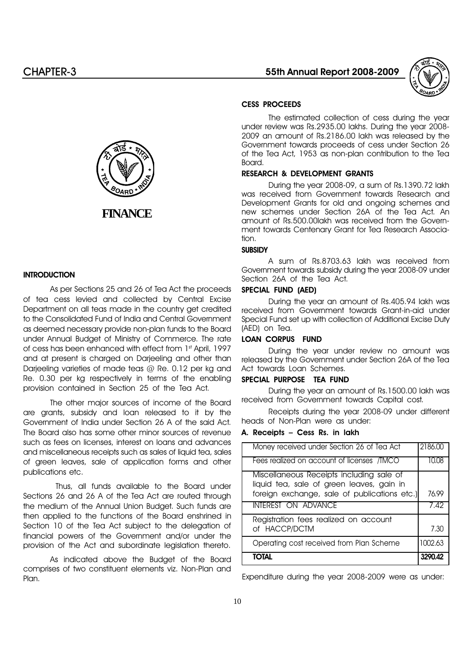

#### CESS PROCEEDS

The estimated collection of cess during the year under review was Rs.2935.00 lakhs. During the year 2008- 2009 an amount of Rs.2186.00 lakh was released by the Government towards proceeds of cess under Section 26 of the Tea Act, 1953 as non-plan contribution to the Tea Board.

#### RESEARCH & DEVELOPMENT GRANTS

During the year 2008-09, a sum of Rs.1390.72 lakh was received from Government towards Research and Development Grants for old and ongoing schemes and new schemes under Section 26A of the Tea Act. An amount of Rs.500.00lakh was received from the Government towards Centenary Grant for Tea Research Association.

#### **SUBSIDY**

A sum of Rs.8703.63 lakh was received from Government towards subsidy during the year 2008-09 under Section 26A of the Tea Act.

#### SPECIAL FUND (AED)

During the year an amount of Rs.405.94 lakh was received from Government towards Grant-in-aid under Special Fund set up with collection of Additional Excise Duty (AED) on Tea.

#### LOAN CORPUS FUND

During the year under review no amount was released by the Government under Section 26A of the Tea Act towards Loan Schemes.

#### SPECIAL PURPOSE TEA FUND

During the year an amount of Rs.1500.00 lakh was received from Government towards Capital cost.

Receipts during the year 2008-09 under different heads of Non-Plan were as under:

#### A. Receipts - Cess Rs. in lakh

| Money received under Section 26 of Tea Act   | 2186.0  |
|----------------------------------------------|---------|
| Fees realized on account of licenses /TMCO   | 10.08   |
| Miscellaneous Receipts including sale of     |         |
| liquid tea, sale of green leaves, gain in    |         |
| foreign exchange, sale of publications etc.) | 76.99   |
| <b>INTEREST ON ADVANCE</b>                   | 7.42    |
| Registration fees realized on account        |         |
| of HACCP/DCTM                                | 7.30    |
| Operating cost received from Plan Scheme     | 1002.63 |
| ΤΟΤΑΙ                                        | 3290.42 |

Expenditure during the year 2008-2009 were as under:



# **INTRODUCTION**

As per Sections 25 and 26 of Tea Act the proceeds of tea cess levied and collected by Central Excise Department on all teas made in the country get credited to the Consolidated Fund of India and Central Government as deemed necessary provide non-plan funds to the Board under Annual Budget of Ministry of Commerce. The rate of cess has been enhanced with effect from 1st April, 1997 and at present is charged on Darjeeling and other than Darjeeling varieties of made teas @ Re. 0.12 per kg and Re. 0.30 per kg respectively in terms of the enabling provision contained in Section 25 of the Tea Act.

The other major sources of income of the Board are grants, subsidy and loan released to it by the Government of India under Section 26 A of the said Act. The Board also has some other minor sources of revenue such as fees on licenses, interest on loans and advances and miscellaneous receipts such as sales of liquid tea, sales of green leaves, sale of application forms and other publications etc.

 Thus, all funds available to the Board under Sections 26 and 26 A of the Tea Act are routed through the medium of the Annual Union Budget. Such funds are then applied to the functions of the Board enshrined in Section 10 of the Tea Act subject to the delegation of financial powers of the Government and/or under the provision of the Act and subordinate legislation thereto.

As indicated above the Budget of the Board comprises of two constituent elements viz. Non-Plan and Plan.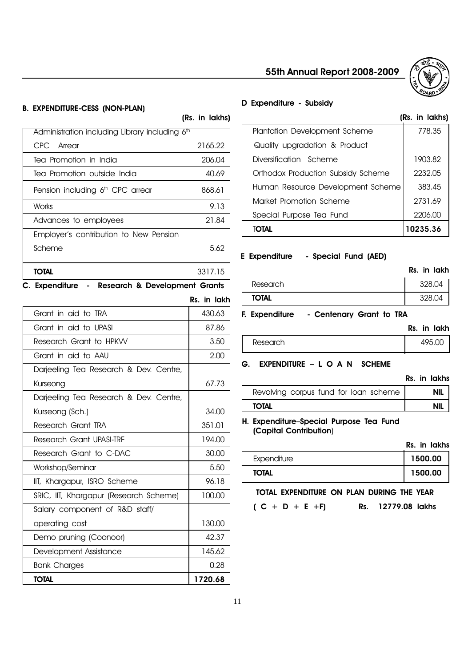

# B. EXPENDITURE-CESS (NON-PLAN)

| TOTAL                                                      | 3317.15 |
|------------------------------------------------------------|---------|
| Scheme                                                     | 5.62    |
| Employer's contribution to New Pension                     |         |
| Advances to employees                                      | 21.84   |
| Works                                                      | 9.13    |
| Pension including 6 <sup>th</sup> CPC arrear               | 868.61  |
| Tea Promotion outside India                                | 40.69   |
| Tea Promotion in India                                     | 206.04  |
| CPC Arrear                                                 | 2165.22 |
| Administration including Library including 6 <sup>th</sup> |         |
|                                                            |         |

C. Expenditure - Research & Development Grants

|                                        | Rs. in lakh |
|----------------------------------------|-------------|
| Grant in aid to TRA                    | 430.63      |
| Grant in aid to UPASI                  | 87.86       |
| Research Grant to HPKW                 | 3.50        |
| Grant in aid to AAU                    | 2.00        |
| Darjeeling Tea Research & Dev. Centre, |             |
| Kurseong                               | 67.73       |
| Darjeeling Tea Research & Dev. Centre, |             |
| Kurseong (Sch.)                        | 34.00       |
| Research Grant TRA                     | 351.01      |
| Research Grant UPASI-TRE               | 194.00      |
| Research Grant to C-DAC                | 30,00       |
| Workshop/Seminar                       | 5.50        |
| IIT, Khargapur, ISRO Scheme            | 96.18       |
| SRIC, IIT, Khargapur (Research Scheme) | 100.00      |
| Salary component of R&D staff/         |             |
| operating cost                         | 130.00      |
| Demo pruning (Coonoor)                 | 42.37       |
| Development Assistance                 | 145.62      |
| <b>Bank Charges</b>                    | 0.28        |
| <b>TOTAL</b>                           | 1720.68     |

# D Expenditure - Subsidy

(Rs. in lakhs)

# (Rs. in lakhs)

| Plantation Development Scheme      | 778.35   |
|------------------------------------|----------|
| Quality upgradation & Product      |          |
| Diversification Scheme             | 1903.82  |
| Orthodox Production Subsidy Scheme | 2232.05  |
| Human Resource Development Scheme  | 383.45   |
| Market Promotion Scheme            | 2731.69  |
| Special Purpose Tea Fund           | 2206.00  |
| TOTAL                              | 10235.36 |

### E Expenditure - Special Fund (AED)

|                   |                        | Rs. in lakh |
|-------------------|------------------------|-------------|
| Research          |                        | 328.04      |
| <b>TOTAL</b>      |                        | 328.04      |
| ᄅᅟᅟᄐᇄᇰᇰᇰᇰᇰᆈᅝᆈᇅᇅᇮᇰ | Contenant Crowl to TDA |             |

#### F. Expenditure - Centenary Grant to TRA

|          | Rs. in lakh |        |
|----------|-------------|--------|
| Research |             | 495.00 |
|          |             |        |

# G. EXPENDITURE - L O A N SCHEME

|                                       | Rs. in lakhs |
|---------------------------------------|--------------|
| Revolving corpus fund for loan scheme | NIL          |
| <b>TOTAL</b>                          | <b>NIL</b>   |
|                                       |              |

#### H. Expenditure-Special Purpose Tea Fund (Capital Contribution)

Rs. in lakhs

| Expenditure  | 1500.00 |
|--------------|---------|
| <b>TOTAL</b> | 1500.00 |

# TOTAL EXPENDITURE ON PLAN DURING THE YEAR

 $(C + D + E + F)$  Rs. 12779.08 lakhs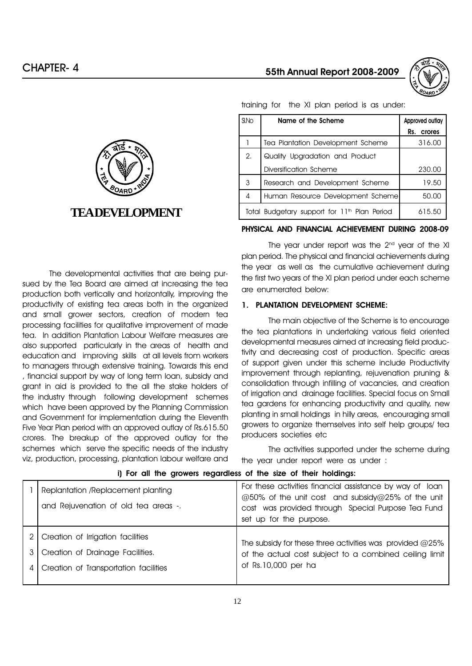



The developmental activities that are being pursued by the Tea Board are aimed at increasing the tea production both vertically and horizontally, improving the productivity of existing tea areas both in the organized and small grower sectors, creation of modern tea processing facilities for qualitative improvement of made tea. In addition Plantation Labour Welfare measures are also supported particularly in the areas of health and education and improving skills at all levels from workers to managers through extensive training. Towards this end , financial support by way of long term loan, subsidy and grant in aid is provided to the all the stake holders of the industry through following development schemes which have been approved by the Planning Commission and Government for implementation during the Eleventh Five Year Plan period with an approved outlay of Rs.615.50 crores. The breakup of the approved outlay for the schemes which serve the specific needs of the industry viz, production, processing, plantation labour welfare and

# S.No **Name of the Scheme** Approved outlay Rs. crores 1 | Tea Plantation Development Scheme | 316.00 2. Quality Upgradation and Product Diversification Scheme 230.00 3 Research and Development Scheme | 19.50 4 | Human Resource Development Scheme | 50.00 Total Budgetary support for  $11<sup>th</sup>$  Plan Period  $\begin{bmatrix} 615.50 \end{bmatrix}$

#### PHYSICAL AND FINANCIAL ACHIEVEMENT DURING 2008-09

The year under report was the 2<sup>nd</sup> year of the XI plan period. The physical and financial achievements during the year as well as the cumulative achievement during the first two years of the XI plan period under each scheme are enumerated below:

#### 1. PLANTATION DEVELOPMENT SCHEME:

The main objective of the Scheme is to encourage the tea plantations in undertaking various field oriented developmental measures aimed at increasing field productivity and decreasing cost of production. Specific areas of support given under this scheme include Productivity improvement through replanting, rejuvenation pruning & consolidation through infilling of vacancies, and creation of irrigation and drainage facilities. Special focus on Small tea gardens for enhancing productivity and quality, new planting in small holdings in hilly areas, encouraging small growers to organize themselves into self help groups/ tea producers societies etc

The activities supported under the scheme during the year under report were as under :

|   | $\mathbf{u}$ , we will find by the respectively will be view with fixed from $\mathbf{u}$                      |                                                                                                                                                                                                |
|---|----------------------------------------------------------------------------------------------------------------|------------------------------------------------------------------------------------------------------------------------------------------------------------------------------------------------|
|   | Replantation /Replacement planting<br>and Rejuvenation of old tea areas -.                                     | For these activities financial assistance by way of loan<br>@50% of the unit cost and subsidy@25% of the unit<br>cost was provided through Special Purpose Tea Fund<br>set up for the purpose. |
| 4 | Creation of Irrigation facilities<br>Creation of Drainage Facilities.<br>Creation of Transportation facilities | The subsidy for these three activities was provided $@25\%$<br>of the actual cost subject to a combined ceiling limit<br>of Rs.10,000 per ha                                                   |

#### i) For all the growers regardless of the size of their holdings:

training for the XI plan period is as under: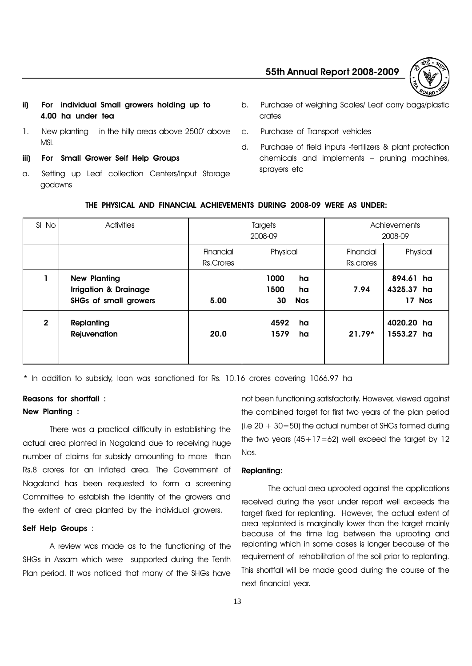

- ii) For individual Small growers holding up to 4.00 ha under tea
- 1. New planting in the hilly areas above 2500' above **MSL**
- iii) For Small Grower Self Help Groups
- a. Setting up Leaf collection Centers/Input Storage godowns
- b. Purchase of weighing Scales/ Leaf carry bags/plastic crates
- c. Purchase of Transport vehicles
- d. Purchase of field inputs -fertilizers & plant protection  $chemicals$  and implements  $-$  pruning machines, sprayers etc

| SI No        | <b>Activities</b>                                                                       | <b>Targets</b><br>2008-09 |                                              | Achievements<br>2008-09                   |  |
|--------------|-----------------------------------------------------------------------------------------|---------------------------|----------------------------------------------|-------------------------------------------|--|
|              |                                                                                         | Financial<br>Rs.Crores    | Physical                                     | Physical<br>Financial<br>Rs.crores        |  |
|              | <b>New Planting</b><br><b>Irrigation &amp; Drainage</b><br><b>SHGs of small growers</b> | 5.00                      | 1000<br>ha<br>1500<br>ha<br>30<br><b>Nos</b> | 894.61 ha<br>7.94<br>4325.37 ha<br>17 Nos |  |
| $\mathbf{2}$ | Replanting<br>Rejuvenation                                                              | 20.0                      | 4592<br>ha<br>1579<br>ha                     | 4020.20 ha<br>$21.79*$<br>1553.27 ha      |  |

THE PHYSICAL AND FINANCIAL ACHIEVEMENTS DURING 2008-09 WERE AS UNDER:

\* In addition to subsidy, loan was sanctioned for Rs. 10.16 crores covering 1066.97 ha

# Reasons for shortfall : New Planting :

There was a practical difficulty in establishing the actual area planted in Nagaland due to receiving huge number of claims for subsidy amounting to more than Rs.8 crores for an inflated area. The Government of Nagaland has been requested to form a screening Committee to establish the identity of the growers and the extent of area planted by the individual growers.

# Self Help Groups :

A review was made as to the functioning of the SHGs in Assam which were supported during the Tenth Plan period. It was noticed that many of the SHGs have

not been functioning satisfactorily. However, viewed against the combined target for first two years of the plan period (i.e  $20 + 30 = 50$ ) the actual number of SHGs formed during the two years  $(45+17=62)$  well exceed the target by 12 Nos.

# Replanting:

The actual area uprooted against the applications received during the year under report well exceeds the target fixed for replanting. However, the actual extent of area replanted is marginally lower than the target mainly because of the time lag between the uprooting and replanting which in some cases is longer because of the requirement of rehabilitation of the soil prior to replanting. This shortfall will be made good during the course of the next financial year.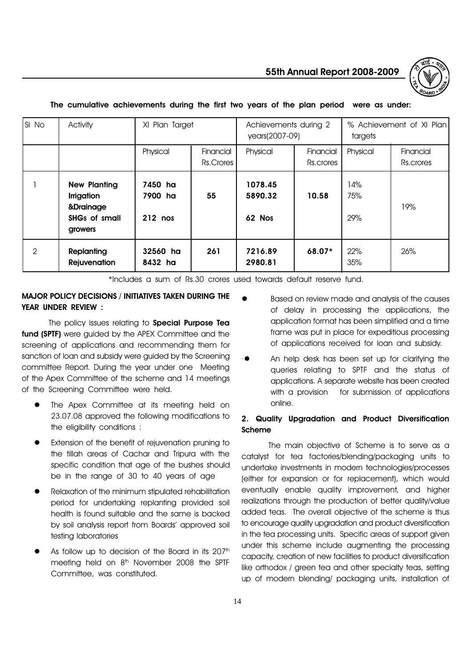55th Annual Report 2008-2009



| SI No | Activity                                                                                 | XI Plan Target                |                        | Achievements during 2<br>years(2007-09) |                        | % Achievement of XI Plan<br>targets |                        |
|-------|------------------------------------------------------------------------------------------|-------------------------------|------------------------|-----------------------------------------|------------------------|-------------------------------------|------------------------|
|       |                                                                                          | Physical                      | Financial<br>Rs.Crores | Physical                                | Financial<br>Rs.crores | Physical                            | Financial<br>Rs.crores |
|       | <b>New Planting</b><br><b>Irrigation</b><br>&Drainage<br><b>SHGs of small</b><br>growers | 7450 ha<br>7900 ha<br>212 nos | 55                     | 1078.45<br>5890.32<br>62 Nos            | 10.58                  | 14%<br>75%<br>29%                   | 19%                    |
| 2     | Replanting<br>Rejuvenation                                                               | 32560 ha<br>8432 ha           | 261                    | 7216.89<br>2980.81                      | $68.07*$               | 22%<br>35%                          | 26%                    |

#### The cumulative achievements during the first two years of the plan period were as under:

\*Includes a sum of Rs.30 crores used towards default reserve fund.

# MAJOR POLICY DECISIONS / INITIATIVES TAKEN DURING THE YEAR UNDER REVIEW :

The policy issues relating to **Special Purpose Tea** fund (SPTF) were guided by the APEX Committee and the screening of applications and recommending them for sanction of loan and subsidy were guided by the Screening committee Report. During the year under one Meeting of the Apex Committee of the scheme and 14 meetings of the Screening Committee were held.

- The Apex Committee at its meeting held on 23.07.08 approved the following modifications to the eligibility conditions :
- Extension of the benefit of rejuvenation pruning to the tillah areas of Cachar and Tripura with the specific condition that age of the bushes should be in the range of 30 to 40 years of age
- Relaxation of the minimum stipulated rehabilitation period for undertaking replanting provided soil health is found suitable and the same is backed by soil analysis report from Boards' approved soil testing laboratories
- As follow up to decision of the Board in its 207<sup>th</sup> meeting held on  $8<sup>th</sup>$  November 2008 the SPTF Committee, was constituted.
- Based on review made and analysis of the causes of delay in processing the applications, the application format has been simplified and a time frame was put in place for expeditious processing of applications received for loan and subsidy.
- An help desk has been set up for clarifying the queries relating to SPTF and the status of applications. A separate website has been created with a provision for submission of applications online.

# 2. Quality Upgradation and Product Diversification Scheme

The main objective of Scheme is to serve as a catalyst for tea factories/blending/packaging units to undertake investments in modern technologies/processes (either for expansion or for replacement), which would eventually enable quality improvement, and higher realizations through the production of better quality/value added teas. The overall objective of the scheme is thus to encourage quality upgradation and product diversification in the tea processing units. Specific areas of support given under this scheme include augmenting the processing capacity, creation of new facilities to product diversification like orthodox / green tea and other specialty teas, setting up of modern blending/ packaging units, installation of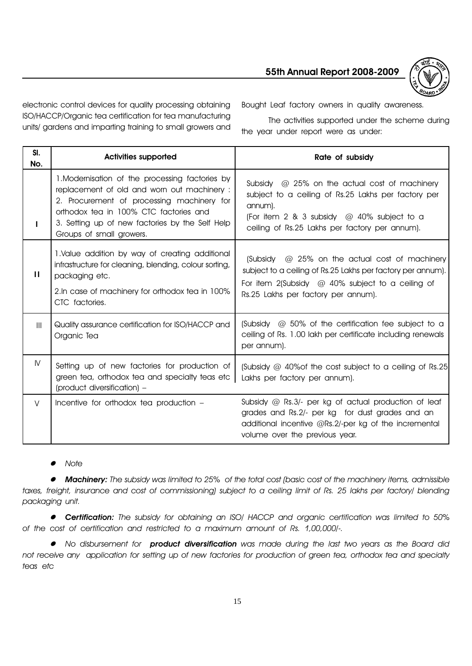

electronic control devices for quality processing obtaining ISO/HACCP/Organic tea certification for tea manufacturing units/ gardens and imparting training to small growers and Bought Leaf factory owners in quality awareness.

The activities supported under the scheme during the year under report were as under:

| SI.<br>No.     | <b>Activities supported</b>                                                                                                                                                                                                                                           | Rate of subsidy                                                                                                                                                                                                          |
|----------------|-----------------------------------------------------------------------------------------------------------------------------------------------------------------------------------------------------------------------------------------------------------------------|--------------------------------------------------------------------------------------------------------------------------------------------------------------------------------------------------------------------------|
| L              | 1. Modernisation of the processing factories by<br>replacement of old and worn out machinery :<br>2. Procurement of processing machinery for<br>orthodox tea in 100% CTC factories and<br>3. Setting up of new factories by the Self Help<br>Groups of small growers. | Subsidy $\omega$ 25% on the actual cost of machinery<br>subject to a ceiling of Rs.25 Lakhs per factory per<br>annum).<br>(For item 2 & 3 subsidy $@$ 40% subject to a<br>ceiling of Rs.25 Lakhs per factory per annum). |
| Ш              | 1. Value addition by way of creating additional<br>infrastructure for cleaning, blending, colour sorting,<br>packaging etc.<br>2. In case of machinery for orthodox tea in 100%<br>CTC factories.                                                                     | @ 25% on the actual cost of machinery<br>(Subsidy<br>subject to a ceiling of Rs.25 Lakhs per factory per annum).<br>For item 2(Subsidy $@$ 40% subject to a ceiling of<br>Rs.25 Lakhs per factory per annum).            |
| $\mathbf{III}$ | Quality assurance certification for ISO/HACCP and<br>Organic Tea                                                                                                                                                                                                      | (Subsidy $\omega$ 50% of the certification fee subject to a<br>ceiling of Rs. 1.00 lakh per certificate including renewals<br>per annum).                                                                                |
| IV.            | Setting up of new factories for production of<br>green tea, orthodox tea and specialty teas etc<br>(product diversification) -                                                                                                                                        | (Subsidy @ 40% of the cost subject to a ceiling of Rs.25)<br>Lakhs per factory per annum).                                                                                                                               |
| $\vee$         | Incentive for orthodox tea production -                                                                                                                                                                                                                               | Subsidy $@$ Rs.3/- per kg of actual production of leaf<br>grades and Rs.2/- per kg for dust grades and an<br>additional incentive @Rs.2/-per kg of the incremental<br>volume over the previous year.                     |

**Note** 

• Machinery: The subsidy was limited to 25% of the total cost (basic cost of the machinery items, admissible taxes, freight, insurance and cost of commissioning) subject to a ceiling limit of Rs. 25 lakhs per factory/ blending packaging unit.

**• Certification:** The subsidy for obtaining an ISO/ HACCP and organic certification was limited to 50% of the cost of certification and restricted to a maximum amount of Rs. 1,00,000/-.

• No disbursement for **product diversification** was made during the last two years as the Board did not receive any application for setting up of new factories for production of green tea, orthodox tea and specialty teas etc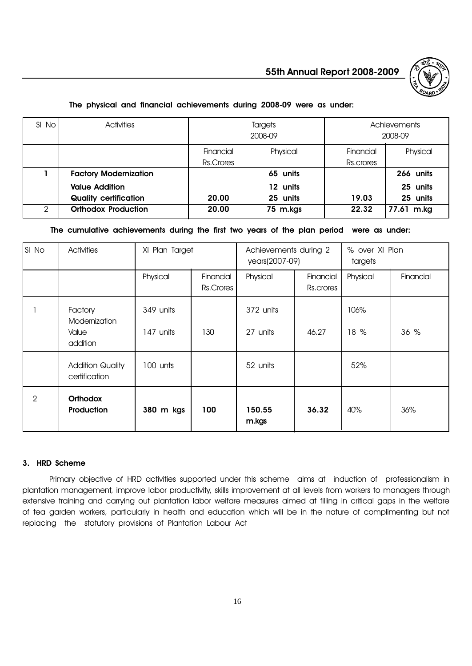

### The physical and financial achievements during 2008-09 were as under:

| SI No         | <b>Activities</b>            | Targets<br>2008-09 |          |           | Achievements<br>2008-09 |
|---------------|------------------------------|--------------------|----------|-----------|-------------------------|
|               |                              | Financial          | Physical | Financial | Physical                |
|               |                              | Rs.Crores          |          | Rs.crores |                         |
|               | <b>Factory Modernization</b> |                    | 65 units |           | 266 units               |
|               | <b>Value Addition</b>        |                    | 12 units |           | 25 units                |
|               | <b>Quality certification</b> | 20.00              | 25 units | 19.03     | 25 units                |
| $\mathcal{P}$ | <b>Orthodox Production</b>   | 20.00              | 75 m.kgs | 22.32     | 77.61 m.kg              |

# The cumulative achievements during the first two years of the plan period were as under:

| SI No | Activities                                    |                        | XI Plan Target<br>Achievements during 2<br>years(2007-09) |                       | % over XI Plan<br>targets |              |           |
|-------|-----------------------------------------------|------------------------|-----------------------------------------------------------|-----------------------|---------------------------|--------------|-----------|
|       |                                               | Physical               | Financial<br>Rs.Crores                                    | Physical              | Financial<br>Rs.crores    | Physical     | Financial |
|       | Factory<br>Modernization<br>Value<br>addition | 349 units<br>147 units | 130                                                       | 372 units<br>27 units | 46.27                     | 106%<br>18 % | 36 %      |
|       | <b>Addition Quality</b><br>certification      | 100 unts               |                                                           | 52 units              |                           | 52%          |           |
| 2     | <b>Orthodox</b><br>Production                 | 380 m kgs              | 100                                                       | 150.55<br>m.kgs       | 36.32                     | 40%          | 36%       |

# 3. HRD Scheme

Primary objective of HRD activities supported under this scheme aims at induction of professionalism in plantation management, improve labor productivity, skills improvement at all levels from workers to managers through extensive training and carrying out plantation labor welfare measures aimed at filling in critical gaps in the welfare of tea garden workers, particularly in health and education which will be in the nature of complimenting but not replacing the statutory provisions of Plantation Labour Act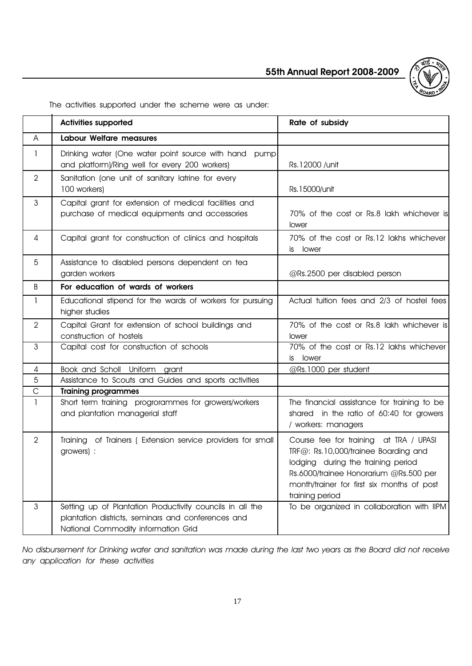

The activities supported under the scheme were as under:

|                | <b>Activities supported</b>                                                                                                                            | Rate of subsidy                                                                                                                                                                                                                 |
|----------------|--------------------------------------------------------------------------------------------------------------------------------------------------------|---------------------------------------------------------------------------------------------------------------------------------------------------------------------------------------------------------------------------------|
| A              | <b>Labour Welfare measures</b>                                                                                                                         |                                                                                                                                                                                                                                 |
| 1              | Drinking water (One water point source with hand<br>pump<br>and platform)/Ring well for every 200 workers)                                             | Rs.12000 / unit                                                                                                                                                                                                                 |
| $\overline{2}$ | Sanitation (one unit of sanitary latrine for every<br>100 workers)                                                                                     | Rs.15000/unit                                                                                                                                                                                                                   |
| $\mathfrak{Z}$ | Capital grant for extension of medical facilities and<br>purchase of medical equipments and accessories                                                | 70% of the cost or Rs.8 lakh whichever is<br>lower                                                                                                                                                                              |
| 4              | Capital grant for construction of clinics and hospitals                                                                                                | 70% of the cost or Rs.12 lakhs whichever<br>lower<br>is                                                                                                                                                                         |
| 5              | Assistance to disabled persons dependent on tea<br>garden workers                                                                                      | @Rs.2500 per disabled person                                                                                                                                                                                                    |
| B              | For education of wards of workers                                                                                                                      |                                                                                                                                                                                                                                 |
| $\mathbf{1}$   | Educational stipend for the wards of workers for pursuing<br>higher studies                                                                            | Actual tuition fees and 2/3 of hostel fees                                                                                                                                                                                      |
| $\overline{2}$ | Capital Grant for extension of school buildings and<br>construction of hostels                                                                         | 70% of the cost or Rs.8 lakh whichever is<br>lower                                                                                                                                                                              |
| 3              | Capital cost for construction of schools                                                                                                               | 70% of the cost or Rs.12 lakhs whichever<br>is lower                                                                                                                                                                            |
| 4              | Book and Scholl Uniform<br>grant                                                                                                                       | @Rs.1000 per student                                                                                                                                                                                                            |
| $\overline{5}$ | Assistance to Scouts and Guides and sports activities                                                                                                  |                                                                                                                                                                                                                                 |
| $\mathsf{C}$   | <b>Training programmes</b>                                                                                                                             |                                                                                                                                                                                                                                 |
| $\mathbf{1}$   | Short term training progrorammes for growers/workers<br>and plantation managerial staff                                                                | The financial assistance for training to be<br>shared in the ratio of 60:40 for growers<br>/ workers: managers                                                                                                                  |
| $\overline{2}$ | Training of Trainers (Extension service providers for small<br>growers) :                                                                              | Course fee for training at TRA / UPASI<br>TRF@: Rs.10,000/trainee Boarding and<br>lodging during the training period<br>Rs.6000/trainee Honorarium @Rs.500 per<br>month/trainer for first six months of post<br>training period |
| $\mathfrak{Z}$ | Setting up of Plantation Productivity councils in all the<br>plantation districts, seminars and conferences and<br>National Commodity information Grid | To be organized in collaboration with IIPM                                                                                                                                                                                      |

No disbursement for Drinking water and sanitation was made during the last two years as the Board did not receive any application for these activities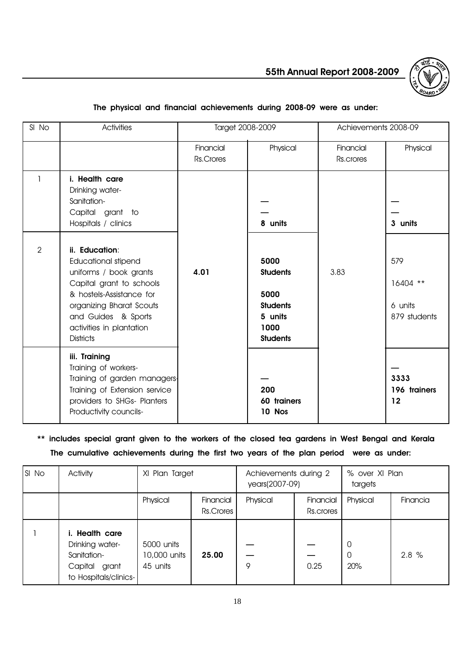

# SI No Activities and Target 2008-2009 Achievements 2008-09 Financial Physical Financial Physical Rs.Crores **Res.Crores** Rs.crores 1 | i. Health care Drinking water-Sanitation- Capital grant to Hospitals / clinics **8 units 10 units 10 units 10 units** 2 units 1 3 units 2 **ii. Education:** Educational stipend The Contract of the Superior of the Superior of the Superior of the Superior of the Superior of the Superior of the Superior of the Superior of the Superior of the Superior of the Superior of the Superi uniforms / book grants  $\begin{vmatrix} 4.01 \end{vmatrix}$  **Students** | 3.83 Capital grant to schools 16404 \*\* & hostels-Assistance for  $\vert$  5000 organizing Bharat Scouts | students | Students | 6 units and Guides & Sports 5 units 879 students activities in plantation 1000 Districts **Students** iii. Training Training of workers- Training of garden managers- 3333 Training of Extension service | 200 | 200 | 196 trainers providers to SHGs- Planters | 60 trainers | 12 Productivity councils-<br>
10 Nos

# The physical and financial achievements during 2008-09 were as under:

\*\* includes special grant given to the workers of the closed tea gardens in West Bengal and Kerala The cumulative achievements during the first two years of the plan period were as under:

| SI No | Activity                                                                                      | XI Plan Target                         |                        | Achievements during 2<br>years(2007-09) |                        | % over XI Plan<br>targets |          |
|-------|-----------------------------------------------------------------------------------------------|----------------------------------------|------------------------|-----------------------------------------|------------------------|---------------------------|----------|
|       |                                                                                               | Physical                               | Financial<br>Rs.Crores | Physical                                | Financial<br>Rs.crores | Physical                  | Financia |
|       | i. Health care<br>Drinking water-<br>Sanitation-<br>Capital<br>grant<br>to Hospitals/clinics- | 5000 units<br>10,000 units<br>45 units | 25.00                  | 9                                       | 0.25                   | 0<br>0<br>20%             | 2.8%     |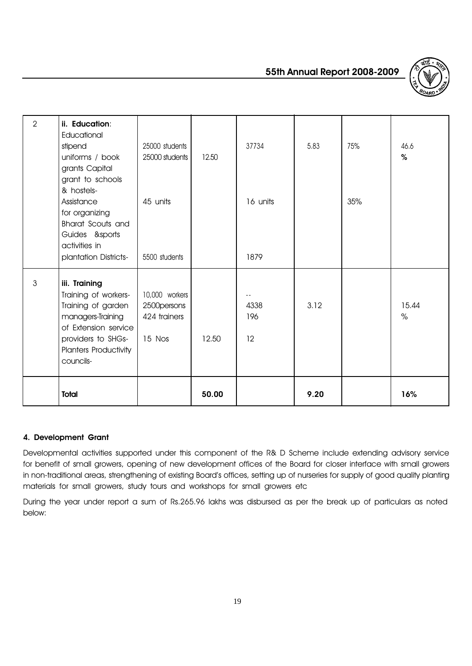



| $\overline{2}$ | ii. Education:<br>Educational<br>stipend<br>uniforms / book<br>grants Capital<br>grant to schools                                                                    | 25000 students<br>25000 students                         | 12.50 | 37734             | 5.83 | 75% | 46.6<br>$\%$  |
|----------------|----------------------------------------------------------------------------------------------------------------------------------------------------------------------|----------------------------------------------------------|-------|-------------------|------|-----|---------------|
|                | & hostels-<br>Assistance<br>for organizing<br><b>Bharat Scouts and</b><br>Guides &sports<br>activities in<br>plantation Districts-                                   | 45 units<br>5500 students                                |       | 16 units<br>1879  |      | 35% |               |
| $\mathfrak{Z}$ | iii. Training<br>Training of workers-<br>Training of garden<br>managers-Training<br>of Extension service<br>providers to SHGs-<br>Planters Productivity<br>councils- | 10,000 workers<br>2500 persons<br>424 trainers<br>15 Nos | 12.50 | 4338<br>196<br>12 | 3.12 |     | 15.44<br>$\%$ |
|                | <b>Total</b>                                                                                                                                                         |                                                          | 50.00 |                   | 9.20 |     | 16%           |

# 4. Development Grant

Developmental activities supported under this component of the R& D Scheme include extending advisory service for benefit of small growers, opening of new development offices of the Board for closer interface with small growers in non-traditional areas, strengthening of existing Board's offices, setting up of nurseries for supply of good quality planting materials for small growers, study tours and workshops for small growers etc

During the year under report a sum of Rs.265.96 lakhs was disbursed as per the break up of particulars as noted below: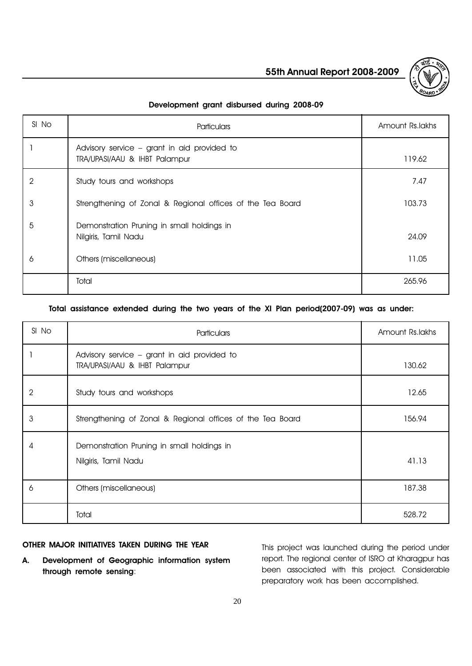

# Development grant disbursed during 2008-09

| SI No | <b>Particulars</b>                                                           | Amount Rs.lakhs |
|-------|------------------------------------------------------------------------------|-----------------|
|       | Advisory service – grant in aid provided to<br>TRA/UPASI/AAU & IHBT Palampur | 119.62          |
| 2     | Study tours and workshops                                                    | 7.47            |
| 3     | Strengthening of Zonal & Regional offices of the Tea Board                   | 103.73          |
| 5     | Demonstration Pruning in small holdings in<br>Nilgiris, Tamil Nadu           | 24.09           |
| 6     | Others (miscellaneous)                                                       | 11.05           |
|       | Total                                                                        | 265.96          |

# Total assistance extended during the two years of the XI Plan period(2007-09) was as under:

| SI No | Particulars                                                                  | Amount Rs. lakhs |
|-------|------------------------------------------------------------------------------|------------------|
|       | Advisory service - grant in aid provided to<br>TRA/UPASI/AAU & IHBT Palampur | 130.62           |
| 2     | Study tours and workshops                                                    | 12.65            |
| 3     | Strengthening of Zonal & Regional offices of the Tea Board                   | 156.94           |
| 4     | Demonstration Pruning in small holdings in<br>Nilgiris, Tamil Nadu           | 41.13            |
| 6     | Others (miscellaneous)                                                       | 187.38           |
|       | Total                                                                        | 528.72           |

# OTHER MAJOR INITIATIVES TAKEN DURING THE YEAR

A. Development of Geographic information system through remote sensing:

This project was launched during the period under report. The regional center of ISRO at Kharagpur has been associated with this project. Considerable preparatory work has been accomplished.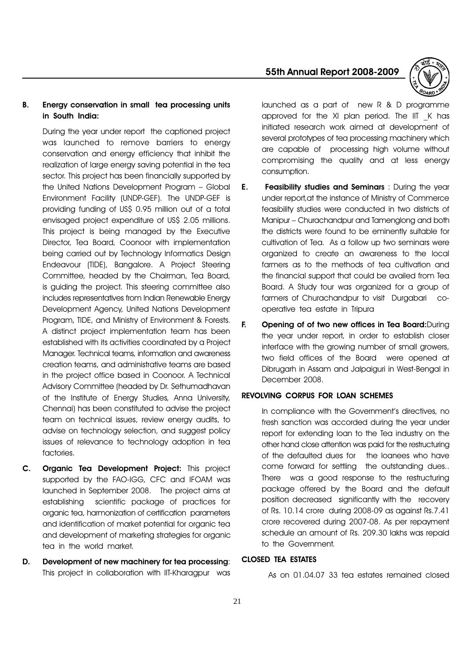



# B. Energy conservation in small tea processing units in South India:

During the year under report the captioned project was launched to remove barriers to energy conservation and energy efficiency that inhibit the realization of large energy saving potential in the tea sector. This project has been financially supported by the United Nations Development Program - Global Environment Facility (UNDP-GEF). The UNDP-GEF is providing funding of US\$ 0.95 million out of a total envisaged project expenditure of US\$ 2.05 millions. This project is being managed by the Executive Director, Tea Board, Coonoor with implementation being carried out by Technology Informatics Design Endeavour (TIDE), Bangalore. A Project Steering Committee, headed by the Chairman, Tea Board, is guiding the project. This steering committee also includes representatives from Indian Renewable Energy Development Agency, United Nations Development Program, TIDE, and Ministry of Environment & Forests. A distinct project implementation team has been established with its activities coordinated by a Project Manager. Technical teams, information and awareness creation teams, and administrative teams are based in the project office based in Coonoor. A Technical Advisory Committee (headed by Dr. Sethumadhavan of the Institute of Energy Studies, Anna University, Chennai) has been constituted to advise the project team on technical issues, review energy audits, to advise on technology selection, and suggest policy issues of relevance to technology adoption in tea factories.

- C. Organic Tea Development Project: This project supported by the FAO-IGG, CFC and IFOAM was launched in September 2008. The project aims at establishing scientific package of practices for organic tea, harmonization of certification parameters and identification of market potential for organic tea and development of marketing strategies for organic tea in the world market.
- D. Development of new machinery for tea processing: This project in collaboration with IIT-Kharagpur was

launched as a part of new R & D programme approved for the XI plan period. The IIT \_K has initiated research work aimed at development of several prototypes of tea processing machinery which are capable of processing high volume without compromising the quality and at less energy consumption.

- E. Feasibility studies and Seminars : During the year under report,at the instance of Ministry of Commerce feasibility studies were conducted in two districts of Manipur – Churachandpur and Tamenglong and both the districts were found to be eminently suitable for cultivation of Tea. As a follow up two seminars were organized to create an awareness to the local farmers as to the methods of tea cultivation and the financial support that could be availed from Tea Board. A Study tour was organized for a group of farmers of Churachandpur to visit Durgabari cooperative tea estate in Tripura
- F. Opening of of two new offices in Tea Board:During the year under report, in order to establish closer interface with the growing number of small growers, two field offices of the Board were opened at Dibrugarh in Assam and Jalpaiguri in West-Bengal in December 2008.

#### REVOLVING CORPUS FOR LOAN SCHEMES

In compliance with the Government's directives, no fresh sanction was accorded during the year under report for extending loan to the Tea industry on the other hand close attention was paid for the restructuring of the defaulted dues for the loanees who have come forward for settling the outstanding dues.. There was a good response to the restructuring package offered by the Board and the default position decreased significantly with the recovery of Rs. 10.14 crore during 2008-09 as against Rs.7.41 crore recovered during 2007-08. As per repayment schedule an amount of Rs. 209.30 lakhs was repaid to the Government.

# CLOSED TEA ESTATES

As on 01.04.07 33 tea estates remained closed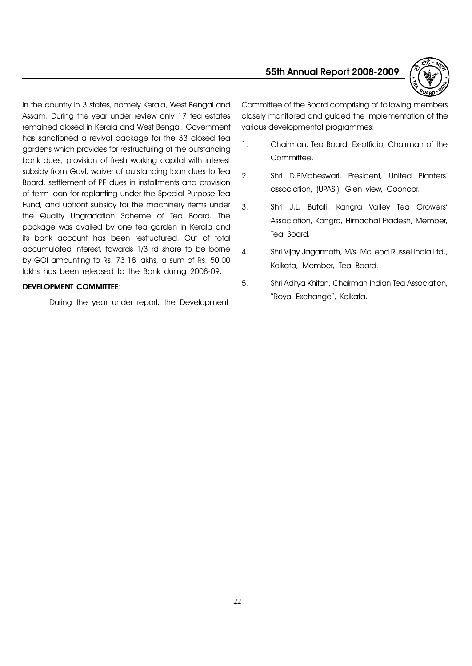

in the country in 3 states, namely Kerala, West Bengal and Assam. During the year under review only 17 tea estates remained closed in Kerala and West Bengal. Government has sanctioned a revival package for the 33 closed tea gardens which provides for restructuring of the outstanding bank dues, provision of fresh working capital with interest subsidy from Govt, waiver of outstanding loan dues to Tea Board, settlement of PF dues in installments and provision of term loan for replanting under the Special Purpose Tea Fund, and upfront subsidy for the machinery items under the Quality Upgradation Scheme of Tea Board. The package was availed by one tea garden in Kerala and its bank account has been restructured. Out of total accumulated interest, towards 1/3 rd share to be borne by GOI amounting to Rs. 73.18 lakhs, a sum of Rs. 50.00 lakhs has been released to the Bank during 2008-09.

### DEVELOPMENT COMMITTEE:

During the year under report, the Development

Committee of the Board comprising of following members closely monitored and guided the implementation of the various developmental programmes:

- 1. Chairman, Tea Board, Ex-officio, Chairman of the Committee.
- 2. Shri D.P.Maheswari, President, United Planters association, (UPASI), Glen view, Coonoor.
- 3. Shri J.L. Butali, Kangra Valley Tea Growers Association, Kangra, Himachal Pradesh, Member, Tea Board.
- 4. Shri Vijay Jagannath, M/s. McLeod Russel India Ltd., Kolkata, Member, Tea Board.
- 5. Shri Aditya Khitan, Chairman Indian Tea Association, "Royal Exchange", Kolkata.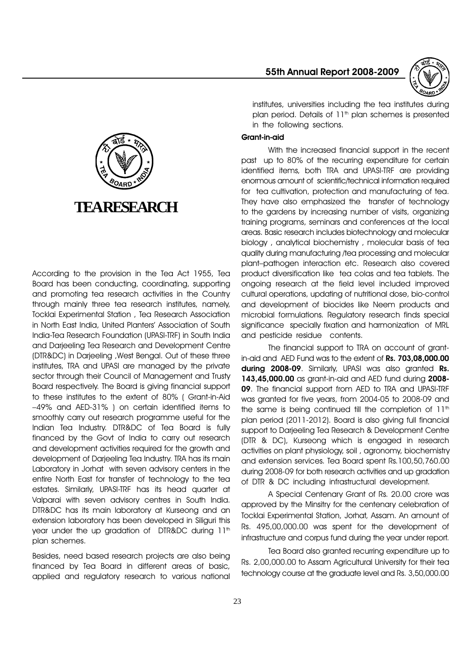55th Annual Report 2008-2009



institutes, universities including the tea institutes during plan period. Details of 11<sup>th</sup> plan schemes is presented in the following sections.

#### Grant-in-aid

With the increased financial support in the recent past up to 80% of the recurring expenditure for certain identified items, both TRA and UPASI-TRF are providing enormous amount of scientific/technical information required for tea cultivation, protection and manufacturing of tea. They have also emphasized the transfer of technology to the gardens by increasing number of visits, organizing training programs, seminars and conferences at the local areas. Basic research includes biotechnology and molecular biology , analytical biochemistry , molecular basis of tea quality during manufacturing /tea processing and molecular plant-pathogen interaction etc. Research also covered product diversification like tea colas and tea tablets. The ongoing research at the field level included improved cultural operations, updating of nutritional dose, bio-control and development of biocides like Neem products and microbial formulations. Regulatory research finds special significance specially fixation and harmonization of MRL and pesticide residue contents.

The financial support to TRA on account of grantin-aid and AED Fund was to the extent of Rs. 703,08,000.00 during 2008-09. Similarly, UPASI was also granted Rs. 143,45,000.00 as grant-in-aid and AED fund during 2008- 09. The financial support from AED to TRA and UPASI-TRF was granted for five years, from 2004-05 to 2008-09 and the same is being continued till the completion of  $11<sup>th</sup>$ plan period (2011-2012). Board is also giving full financial support to Darjeeling Tea Research & Development Centre (DTR & DC), Kurseong which is engaged in research activities on plant physiology, soil , agronomy, biochemistry and extension services. Tea Board spent Rs.100,50,760.00 during 2008-09 for both research activities and up gradation of DTR & DC including infrastructural development.

A Special Centenary Grant of Rs. 20.00 crore was approved by the Minsitry for the centenary celebration of Tocklai Experimental Station, Jorhat, Assam. An amount of Rs. 495,00,000.00 was spent for the development of infrastructure and corpus fund during the year under report.

Tea Board also granted recurring expenditure up to Rs. 2,00,000.00 to Assam Agricultural University for their tea technology course at the graduate level and Rs. 3,50,000.00



According to the provision in the Tea Act 1955, Tea Board has been conducting, coordinating, supporting and promoting tea research activities in the Country through mainly three tea research institutes, namely, Tocklai Experimental Station , Tea Research Association in North East India, United Planters' Association of South India-Tea Research Foundation (UPASI-TRF) in South India and Darjeeling Tea Research and Development Centre (DTR&DC) in Darjeeling ,West Bengal. Out of these three institutes, TRA and UPASI are managed by the private sector through their Council of Management and Trusty Board respectively. The Board is giving financial support to these institutes to the extent of 80% ( Grant-in-Aid 49% and AED-31% ) on certain identified items to smoothly carry out research programme useful for the Indian Tea Industry. DTR&DC of Tea Board is fully financed by the Govt of India to carry out research and development activities required for the growth and development of Darjeeling Tea Industry. TRA has its main Laboratory in Jorhat with seven advisory centers in the entire North East for transfer of technology to the tea estates. Similarly, UPASI-TRF has its head quarter at Valparai with seven advisory centres in South India. DTR&DC has its main laboratory at Kurseong and an extension laboratory has been developed in Siliguri this year under the up gradation of DTR&DC during 11<sup>th</sup> plan schemes.

Besides, need based research projects are also being financed by Tea Board in different areas of basic, applied and regulatory research to various national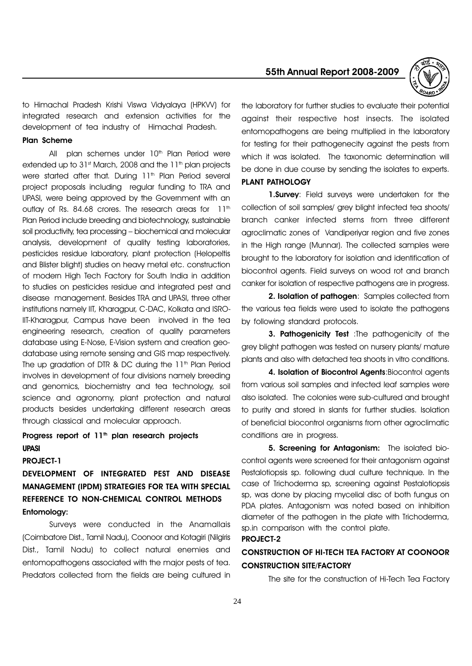to Himachal Pradesh Krishi Viswa Vidyalaya (HPKVV) for integrated research and extension activities for the development of tea industry of Himachal Pradesh.

#### Plan Scheme

All plan schemes under  $10<sup>th</sup>$  Plan Period were extended up to  $31<sup>st</sup>$  March, 2008 and the  $11<sup>th</sup>$  plan projects were started after that. During 11<sup>th</sup> Plan Period several project proposals including regular funding to TRA and UPASI, were being approved by the Government with an outlay of Rs. 84.68 crores. The research areas for  $11<sup>th</sup>$ Plan Period include breeding and biotechnology, sustainable soil productivity, tea processing - biochemical and molecular analysis, development of quality testing laboratories, pesticides residue laboratory, plant protection (Helopeltis and Blister blight) studies on heavy metal etc. construction of modern High Tech Factory for South India in addition to studies on pesticides residue and integrated pest and disease management. Besides TRA and UPASI, three other institutions namely IIT, Kharagpur, C-DAC, Kolkata and ISRO-IIT-Kharagpur, Campus have been involved in the tea engineering research, creation of quality parameters database using E-Nose, E-Vision system and creation geodatabase using remote sensing and GIS map respectively. The up gradation of DTR & DC during the  $11<sup>th</sup>$  Plan Period involves in development of four divisions namely breeding and genomics, biochemistry and tea technology, soil science and agronomy, plant protection and natural products besides undertaking different research areas through classical and molecular approach.

# Progress report of 11<sup>th</sup> plan research projects UPASI

#### PROJECT-1

DEVELOPMENT OF INTEGRATED PEST AND DISEASE MANAGEMENT (IPDM) STRATEGIES FOR TEA WITH SPECIAL REFERENCE TO NON-CHEMICAL CONTROL METHODS Entomology:

Surveys were conducted in the Anamallais (Coimbatore Dist., Tamil Nadu), Coonoor and Kotagiri (Nilgiris Dist., Tamil Nadu) to collect natural enemies and entomopathogens associated with the major pests of tea. Predators collected from the fields are being cultured in

55th Annual Report 2008-2009



the laboratory for further studies to evaluate their potential against their respective host insects. The isolated entomopathogens are being multiplied in the laboratory for testing for their pathogenecity against the pests from which it was isolated. The taxonomic determination will be done in due course by sending the isolates to experts. PLANT PATHOLOGY

1.Survey: Field surveys were undertaken for the collection of soil samples/ grey blight infected tea shoots/ branch canker infected stems from three different agroclimatic zones of Vandiperiyar region and five zones in the High range (Munnar). The collected samples were brought to the laboratory for isolation and identification of biocontrol agents. Field surveys on wood rot and branch canker for isolation of respective pathogens are in progress.

2. Isolation of pathogen: Samples collected from the various tea fields were used to isolate the pathogens by following standard protocols.

3. Pathogenicity Test : The pathogenicity of the grey blight pathogen was tested on nursery plants/ mature plants and also with detached tea shoots in vitro conditions.

4. Isolation of Biocontrol Agents: Biocontrol agents from various soil samples and infected leaf samples were also isolated. The colonies were sub-cultured and brought to purity and stored in slants for further studies. Isolation of beneficial biocontrol organisms from other agroclimatic conditions are in progress.

5. Screening for Antagonism: The isolated biocontrol agents were screened for their antagonism against Pestalotiopsis sp. following dual culture technique. In the case of Trichoderma sp, screening against Pestalotiopsis sp, was done by placing mycelial disc of both fungus on PDA plates. Antagonism was noted based on inhibition diameter of the pathogen in the plate with Trichoderma, sp.in comparison with the control plate. PROJECT-2

# CONSTRUCTION OF HI-TECH TEA FACTORY AT COONOOR CONSTRUCTION SITE/FACTORY

The site for the construction of Hi-Tech Tea Factory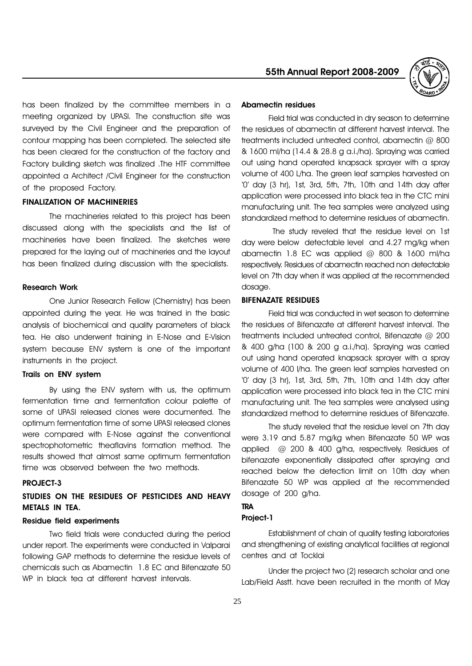has been finalized by the committee members in a meeting organized by UPASI. The construction site was surveyed by the Civil Engineer and the preparation of contour mapping has been completed. The selected site has been cleared for the construction of the factory and Factory building sketch was finalized .The HTF committee appointed a Architect /Civil Engineer for the construction of the proposed Factory.

#### FINALIZATION OF MACHINERIES

The machineries related to this project has been discussed along with the specialists and the list of machineries have been finalized. The sketches were prepared for the laying out of machineries and the layout has been finalized during discussion with the specialists.

#### Research Work

One Junior Research Fellow (Chemistry) has been appointed during the year. He was trained in the basic analysis of biochemical and quality parameters of black tea. He also underwent training in E-Nose and E-Vision system because ENV system is one of the important instruments in the project.

#### Trails on ENV system

By using the ENV system with us, the optimum fermentation time and fermentation colour palette of some of UPASI released clones were documented. The optimum fermentation time of some UPASI released clones were compared with E-Nose against the conventional spectrophotometric theaflavins formation method. The results showed that almost same optimum fermentation time was observed between the two methods.

#### PROJECT-3

# STUDIES ON THE RESIDUES OF PESTICIDES AND HEAVY METALS IN TEA.

#### Residue field experiments

Two field trials were conducted during the period under report. The experiments were conducted in Valparai following GAP methods to determine the residue levels of chemicals such as Abamectin 1.8 EC and Bifenazate 50 WP in black tea at different harvest intervals.



#### Abamectin residues

Field trial was conducted in dry season to determine the residues of abamectin at different harvest interval. The treatments included untreated control, abamectin @ 800 & 1600 ml/ha (14.4 & 28.8 g a.i./ha). Spraying was carried out using hand operated knapsack sprayer with a spray volume of 400 L/ha. The green leaf samples harvested on '0' day (3 hr), 1st, 3rd, 5th, 7th, 10th and 14th day after application were processed into black tea in the CTC mini manufacturing unit. The tea samples were analyzed using standardized method to determine residues of abamectin.

 The study reveled that the residue level on 1st day were below detectable level and 4.27 mg/kg when abamectin 1.8 EC was applied @ 800 & 1600 ml/ha respectively. Residues of abamectin reached non detectable level on 7th day when it was applied at the recommended dosage.

#### BIFENAZATE RESIDUES

Field trial was conducted in wet season to determine the residues of Bifenazate at different harvest interval. The treatments included untreated control, Bifenazate @ 200 & 400 g/ha (100 & 200 g a.i./ha). Spraying was carried out using hand operated knapsack sprayer with a spray volume of 400 l/ha. The green leaf samples harvested on '0' day (3 hr), 1st, 3rd, 5th, 7th, 10th and 14th day after application were processed into black tea in the CTC mini manufacturing unit. The tea samples were analysed using standardized method to determine residues of Bifenazate.

The study reveled that the residue level on 7th day were 3.19 and 5.87 mg/kg when Bifenazate 50 WP was applied @ 200 & 400 g/ha, respectively. Residues of bifenazate exponentially dissipated after spraying and reached below the detection limit on 10th day when Bifenazate 50 WP was applied at the recommended dosage of 200 g/ha.

#### **TRA**

# Project-1

Establishment of chain of quality testing laboratories and strengthening of existing analytical facilities at regional centres and at Tocklai

Under the project two (2) research scholar and one Lab/Field Asstt. have been recruited in the month of May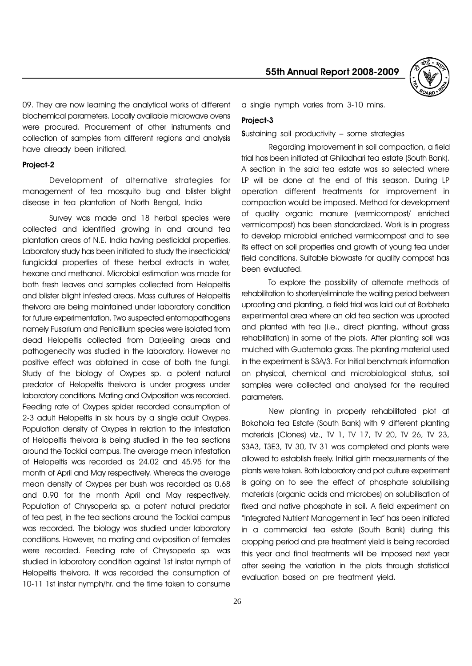

09. They are now learning the analytical works of different biochemical parameters. Locally available microwave ovens were procured. Procurement of other instruments and collection of samples from different regions and analysis have already been initiated.

#### Project-2

Development of alternative strategies for management of tea mosquito bug and blister blight disease in tea plantation of North Bengal, India

Survey was made and 18 herbal species were collected and identified growing in and around tea plantation areas of N.E. India having pesticidal properties. Laboratory study has been initiated to study the insecticidal/ fungicidal properties of these herbal extracts in water, hexane and methanol. Microbial estimation was made for both fresh leaves and samples collected from Helopeltis and blister blight infested areas. Mass cultures of Helopeltis theivora are being maintained under laboratory condition for future experimentation. Two suspected entomopathogens namely Fusarium and Penicillium species were isolated from dead Helopeltis collected from Darjeeling areas and pathogenecity was studied in the laboratory. However no positive effect was obtained in case of both the fungi. Study of the biology of Oxypes sp. a potent natural predator of Helopeltis theivora is under progress under laboratory conditions. Mating and Oviposition was recorded. Feeding rate of Oxypes spider recorded consumption of 2-3 adult Helopeltis in six hours by a single adult Oxypes. Population density of Oxypes in relation to the infestation of Helopeltis theivora is being studied in the tea sections around the Tocklai campus. The average mean infestation of Helopeltis was recorded as 24.02 and 45.95 for the month of April and May respectively. Whereas the average mean density of Oxypes per bush was recorded as 0.68 and 0.90 for the month April and May respectively. Population of Chrysoperla sp. a potent natural predator of tea pest, in the tea sections around the Tocklai campus was recorded. The biology was studied under laboratory conditions. However, no mating and oviposition of females were recorded. Feeding rate of Chrysoperla sp. was studied in laboratory condition against 1st instar nymph of Helopeltis theivora. It was recorded the consumption of 10-11 1st instar nymph/hr. and the time taken to consume a single nymph varies from 3-10 mins.

#### Project-3

**Sustaining soil productivity - some strategies** 

Regarding improvement in soil compaction, a field trial has been initiated at Ghiladhari tea estate (South Bank). A section in the said tea estate was so selected where LP will be done at the end of this season. During LP operation different treatments for improvement in compaction would be imposed. Method for development of quality organic manure (vermicompost/ enriched vermicompost) has been standardized. Work is in progress to develop microbial enriched vermicompost and to see its effect on soil properties and growth of young tea under field conditions. Suitable biowaste for quality compost has been evaluated.

To explore the possibility of alternate methods of rehabilitation to shorten/eliminate the waiting period between uprooting and planting, a field trial was laid out at Borbheta experimental area where an old tea section was uprooted and planted with tea (i.e., direct planting, without grass rehabilitation) in some of the plots. After planting soil was mulched with Guatemala grass. The planting material used in the experiment is S3A/3. For Initial benchmark information on physical, chemical and microbiological status, soil samples were collected and analysed for the required parameters.

New planting in properly rehabilitated plot at Bokahola tea Estate (South Bank) with 9 different planting materials (Clones) viz., TV 1, TV 17, TV 20, TV 26, TV 23, S3A3, T3E3, TV 30, TV 31 was completed and plants were allowed to establish freely. Initial girth measurements of the plants were taken. Both laboratory and pot culture experiment is going on to see the effect of phosphate solubilising materials (organic acids and microbes) on solubilisation of fixed and native phosphate in soil. A field experiment on "Integrated Nutrient Management in Tea" has been initiated in a commercial tea estate (South Bank) during this cropping period and pre treatment yield is being recorded this year and final treatments will be imposed next year after seeing the variation in the plots through statistical evaluation based on pre treatment yield.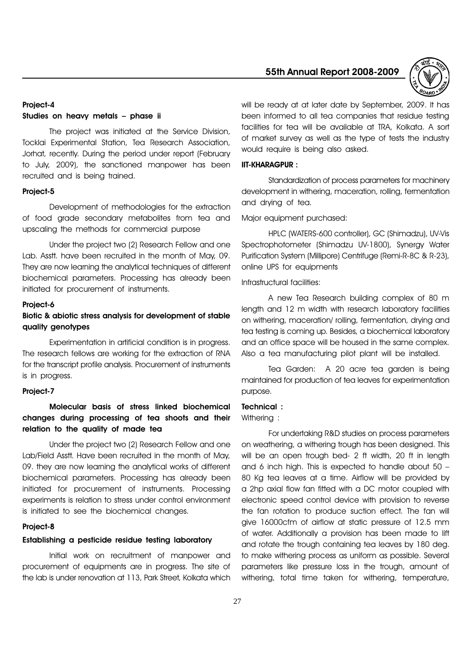

#### Project-4

#### Studies on heavy metals - phase ii

The project was initiated at the Service Division, Tocklai Experimental Station, Tea Research Association, Jorhat, recently. During the period under report (February to July, 2009), the sanctioned manpower has been recruited and is being trained.

#### Project-5

Development of methodologies for the extraction of food grade secondary metabolites from tea and upscaling the methods for commercial purpose

Under the project two (2) Research Fellow and one Lab. Asstt. have been recruited in the month of May, 09. They are now learning the analytical techniques of different biochemical parameters. Processing has already been initiated for procurement of instruments.

#### Project-6

# Biotic & abiotic stress analysis for development of stable quality genotypes

Experimentation in artificial condition is in progress. The research fellows are working for the extraction of RNA for the transcript profile analysis. Procurement of instruments is in progress.

#### Project-7

# Molecular basis of stress linked biochemical changes during processing of tea shoots and their relation to the quality of made tea

Under the project two (2) Research Fellow and one Lab/Field Asstt. Have been recruited in the month of May, 09. they are now learning the analytical works of different biochemical parameters. Processing has already been initiated for procurement of instruments. Processing experiments is relation to stress under control environment is initiated to see the biochemical changes.

#### Project-8

#### Establishing a pesticide residue testing laboratory

Initial work on recruitment of manpower and procurement of equipments are in progress. The site of the lab is under renovation at 113, Park Street, Kolkata which will be ready at at later date by September, 2009. It has been informed to all tea companies that residue testing facilities for tea will be available at TRA, Kolkata. A sort of market survey as well as the type of tests the industry would require is being also asked.

#### IIT-KHARAGPUR :

Standardization of process parameters for machinery development in withering, maceration, rolling, fermentation and drying of tea.

Major equipment purchased:

HPLC (WATERS-600 controller), GC (Shimadzu), UV-Vis Spectrophotometer (Shimadzu UV-1800), Synergy Water Purification System (Millipore) Centrifuge (Remi-R-8C & R-23), online UPS for equipments

Infrastructural facilities:

A new Tea Research building complex of 80 m length and 12 m width with research laboratory facilities on withering, maceration/ rolling, fermentation, drying and tea testing is coming up. Besides, a biochemical laboratory and an office space will be housed in the same complex. Also a tea manufacturing pilot plant will be installed.

Tea Garden: A 20 acre tea garden is being maintained for production of tea leaves for experimentation purpose.

#### Technical :

Withering :

For undertaking R&D studies on process parameters on weathering, a withering trough has been designed. This will be an open trough bed- 2 ft width, 20 ft in length and 6 inch high. This is expected to handle about 50 80 Kg tea leaves at a time. Airflow will be provided by a 2hp axial flow fan fitted with a DC motor coupled with electronic speed control device with provision to reverse the fan rotation to produce suction effect. The fan will give 16000cfm of airflow at static pressure of 12.5 mm of water. Additionally a provision has been made to lift and rotate the trough containing tea leaves by 180 deg. to make withering process as uniform as possible. Several parameters like pressure loss in the trough, amount of withering, total time taken for withering, temperature,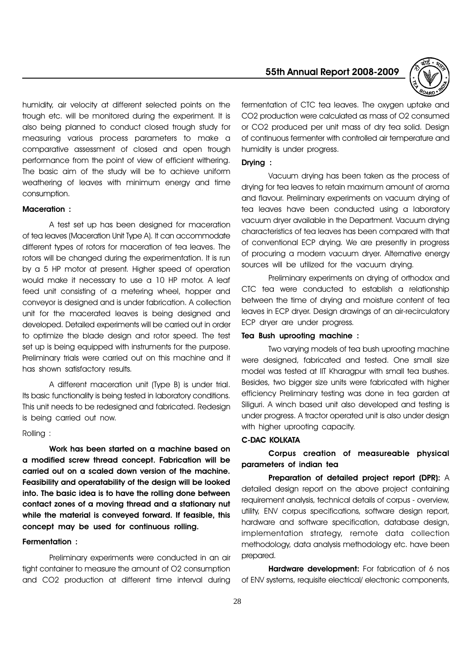humidity, air velocity at different selected points on the trough etc. will be monitored during the experiment. It is also being planned to conduct closed trough study for measuring various process parameters to make a comparative assessment of closed and open trough performance from the point of view of efficient withering. The basic aim of the study will be to achieve uniform weathering of leaves with minimum energy and time consumption.

#### Maceration :

A test set up has been designed for maceration of tea leaves (Maceration Unit Type A). It can accommodate different types of rotors for maceration of tea leaves. The rotors will be changed during the experimentation. It is run by a 5 HP motor at present. Higher speed of operation would make it necessary to use a 10 HP motor. A leaf feed unit consisting of a metering wheel, hopper and conveyor is designed and is under fabrication. A collection unit for the macerated leaves is being designed and developed. Detailed experiments will be carried out in order to optimize the blade design and rotor speed. The test set up is being equipped with instruments for the purpose. Preliminary trials were carried out on this machine and it has shown satisfactory results.

A different maceration unit (Type B) is under trial. Its basic functionality is being tested in laboratory conditions. This unit needs to be redesigned and fabricated. Redesign is being carried out now.

#### Rolling :

Work has been started on a machine based on a modified screw thread concept. Fabrication will be carried out on a scaled down version of the machine. Feasibility and operatability of the design will be looked into. The basic idea is to have the rolling done between contact zones of a moving thread and a stationary nut while the material is conveyed forward. If feasible, this concept may be used for continuous rolling.

#### Fermentation :

Preliminary experiments were conducted in an air tight container to measure the amount of O2 consumption and CO2 production at different time interval during

# 55th Annual Report 2008-2009



fermentation of CTC tea leaves. The oxygen uptake and CO2 production were calculated as mass of O2 consumed or CO2 produced per unit mass of dry tea solid. Design of continuous fermenter with controlled air temperature and humidity is under progress.

#### Drying :

Vacuum drying has been taken as the process of drying for tea leaves to retain maximum amount of aroma and flavour. Preliminary experiments on vacuum drying of tea leaves have been conducted using a laboratory vacuum dryer available in the Department. Vacuum drying characteristics of tea leaves has been compared with that of conventional ECP drying. We are presently in progress of procuring a modern vacuum dryer. Alternative energy sources will be utilized for the vacuum drying.

Preliminary experiments on drying of orthodox and CTC tea were conducted to establish a relationship between the time of drying and moisture content of tea leaves in ECP dryer. Design drawings of an air-recirculatory ECP dryer are under progress.

#### Tea Bush uprooting machine :

Two varying models of tea bush uprooting machine were designed, fabricated and tested. One small size model was tested at IIT Kharagpur with small tea bushes. Besides, two bigger size units were fabricated with higher efficiency Preliminary testing was done in tea garden at Siliguri. A winch based unit also developed and testing is under progress. A tractor operated unit is also under design with higher uprooting capacity.

#### C-DAC KOLKATA

Corpus creation of measureable physical parameters of indian tea

Preparation of detailed project report (DPR): A detailed design report on the above project containing requirement analysis, technical details of corpus - overview, utility, ENV corpus specifications, software design report, hardware and software specification, database design, implementation strategy, remote data collection methodology, data analysis methodology etc. have been prepared.

Hardware development: For fabrication of 6 nos of ENV systems, requisite electrical/ electronic components,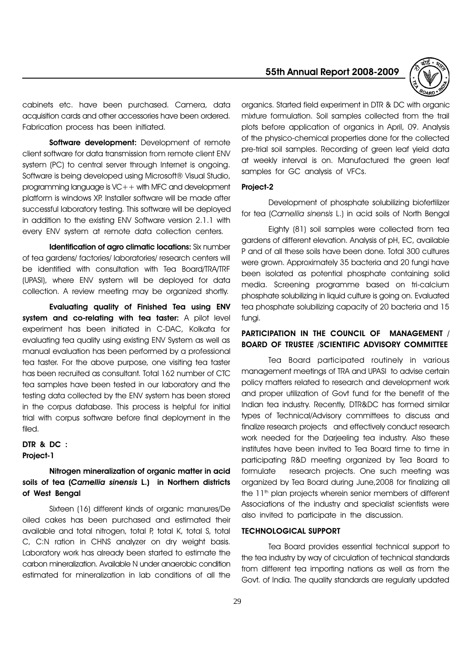55th Annual Report 2008-2009



cabinets etc. have been purchased. Camera, data acquisition cards and other accessories have been ordered. Fabrication process has been initiated.

Software development: Development of remote client software for data transmission from remote client ENV system (PC) to central server through Internet is ongoing. Software is being developed using Microsoft® Visual Studio, programming language is VC++ with MFC and development platform is windows XP. Installer software will be made after successful laboratory testing. This software will be deployed in addition to the existing ENV Software version 2.1.1 with every ENV system at remote data collection centers.

Identification of agro climatic locations: Six number of tea gardens/ factories/ laboratories/ research centers will be identified with consultation with Tea Board/TRA/TRF (UPASI), where ENV system will be deployed for data collection. A review meeting may be organized shortly.

Evaluating quality of Finished Tea using ENV system and co-relating with tea taster: A pilot level experiment has been initiated in C-DAC, Kolkata for evaluating tea quality using existing ENV System as well as manual evaluation has been performed by a professional tea taster. For the above purpose, one visiting tea taster has been recruited as consultant. Total 162 number of CTC tea samples have been tested in our laboratory and the testing data collected by the ENV system has been stored in the corpus database. This process is helpful for initial trial with corpus software before final deployment in the filed.

#### DTR & DC : Project-1

# Nitrogen mineralization of organic matter in acid soils of tea (Camellia sinensis L.) in Northern districts of West Bengal

Sixteen (16) different kinds of organic manures/De oiled cakes has been purchased and estimated their available and total nitrogen, total P, total K, total S, total C, C:N ration in CHNS analyzer on dry weight basis. Laboratory work has already been started to estimate the carbon mineralization. Available N under anaerobic condition estimated for mineralization in lab conditions of all the organics. Started field experiment in DTR & DC with organic mixture formulation. Soil samples collected from the trail plots before application of organics in April, 09. Analysis of the physico-chemical properties done for the collected pre-trial soil samples. Recording of green leaf yield data at weekly interval is on. Manufactured the green leaf samples for GC analysis of VFCs.

#### Project-2

Development of phosphate solubilizing biofertilizer for tea (Camellia sinensis L.) in acid soils of North Bengal

Eighty (81) soil samples were collected from tea gardens of different elevation. Analysis of pH, EC, available P and of all these soils have been done. Total 300 cultures were grown. Approximately 35 bacteria and 20 fungi have been isolated as potential phosphate containing solid media. Screening programme based on tri-calcium phosphate solubilizing in liquid culture is going on. Evaluated tea phosphate solubilizing capacity of 20 bacteria and 15 fungi.

# PARTICIPATION IN THE COUNCIL OF MANAGEMENT / BOARD OF TRUSTEE /SCIENTIFIC ADVISORY COMMITTEE

Tea Board participated routinely in various management meetings of TRA and UPASI to advise certain policy matters related to research and development work and proper utilization of Govt fund for the benefit of the Indian tea industry. Recently, DTR&DC has formed similar types of Technical/Advisory committees to discuss and finalize research projects and effectively conduct research work needed for the Darjeeling tea industry. Also these institutes have been invited to Tea Board time to time in participating R&D meeting organized by Tea Board to formulate research projects. One such meeting was organized by Tea Board during June,2008 for finalizing all the 11<sup>th</sup> plan projects wherein senior members of different Associations of the industry and specialist scientists were also invited to participate in the discussion.

#### TECHNOLOGICAL SUPPORT

Tea Board provides essential technical support to the tea industry by way of circulation of technical standards from different tea importing nations as well as from the Govt. of India. The quality standards are regularly updated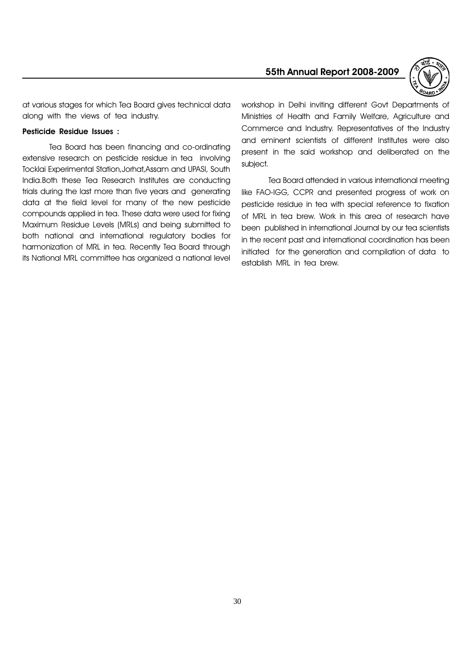

at various stages for which Tea Board gives technical data along with the views of tea industry.

#### Pesticide Residue Issues :

Tea Board has been financing and co-ordinating extensive research on pesticide residue in tea involving Tocklai Experimental Station,Jorhat,Assam and UPASI, South India.Both these Tea Research Institutes are conducting trials during the last more than five years and generating data at the field level for many of the new pesticide compounds applied in tea. These data were used for fixing Maximum Residue Levels (MRLs) and being submitted to both national and international regulatory bodies for harmonization of MRL in tea. Recently Tea Board through its National MRL committee has organized a national level workshop in Delhi inviting different Govt Departments of Ministries of Health and Family Welfare, Agriculture and Commerce and Industry. Representatives of the Industry and eminent scientists of different Institutes were also present in the said workshop and deliberated on the subject.

Tea Board attended in various international meeting like FAO-IGG, CCPR and presented progress of work on pesticide residue in tea with special reference to fixation of MRL in tea brew. Work in this area of research have been published in international Journal by our tea scientists in the recent past and international coordination has been initiated for the generation and compilation of data to establish MRL in tea brew.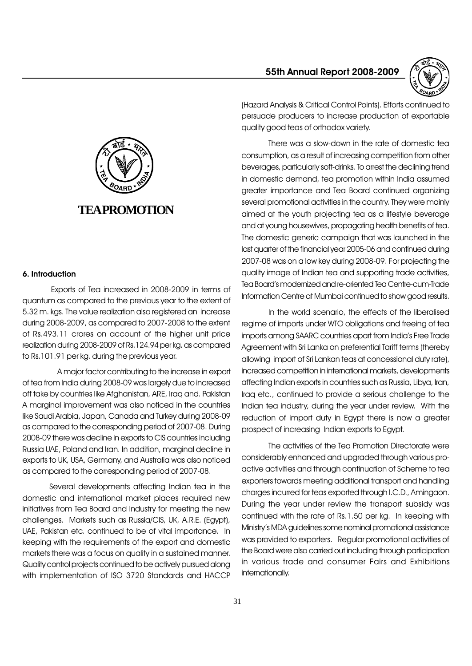55th Annual Report 2008-2009





#### 6. Introduction

Exports of Tea increased in 2008-2009 in terms of quantum as compared to the previous year to the extent of 5.32 m. kgs. The value realization also registered an increase during 2008-2009, as compared to 2007-2008 to the extent of Rs.493.11 crores on account of the higher unit price realization during 2008-2009 of Rs.124.94 per kg. as compared to Rs.101.91 per kg. during the previous year.

 A major factor contributing to the increase in export of tea from India during 2008-09 was largely due to increased off take by countries like Afghanistan, ARE, Iraq and. Pakistan A marginal improvement was also noticed in the countries like Saudi Arabia, Japan, Canada and Turkey during 2008-09 as compared to the corresponding period of 2007-08. During 2008-09 there was decline in exports to CIS countries including Russia UAE, Poland and Iran. In addition, marginal decline in exports to UK, USA, Germany, and Australia was also noticed as compared to the corresponding period of 2007-08.

Several developments affecting Indian tea in the domestic and international market places required new initiatives from Tea Board and Industry for meeting the new challenges. Markets such as Russia/CIS, UK, A.R.E. (Egypt), UAE, Pakistan etc. continued to be of vital importance. In keeping with the requirements of the export and domestic markets there was a focus on quality in a sustained manner. Quality control projects continued to be actively pursued along with implementation of ISO 3720 Standards and HACCP (Hazard Analysis & Critical Control Points). Efforts continued to persuade producers to increase production of exportable quality good teas of orthodox variety.

There was a slow-down in the rate of domestic tea consumption, as a result of increasing competition from other beverages, particularly soft-drinks. To arrest the declining trend in domestic demand, tea promotion within India assumed greater importance and Tea Board continued organizing several promotional activities in the country. They were mainly aimed at the youth projecting tea as a lifestyle beverage and at young housewives, propagating health benefits of tea. The domestic generic campaign that was launched in the last quarter of the financial year 2005-06 and continued during 2007-08 was on a low key during 2008-09. For projecting the quality image of Indian tea and supporting trade activities, Tea Board's modernized and re-oriented Tea Centre-cum-Trade Information Centre at Mumbai continued to show good results.

In the world scenario, the effects of the liberalised regime of imports under WTO obligations and freeing of tea imports among SAARC countries apart from India's Free Trade Agreement with Sri Lanka on preferential Tariff terms (thereby allowing import of Sri Lankan teas at concessional duty rate), increased competition in international markets, developments affecting Indian exports in countries such as Russia, Libya, Iran, Iraq etc., continued to provide a serious challenge to the Indian tea industry, during the year under review. With the reduction of import duty in Egypt there is now a greater prospect of increasing Indian exports to Egypt.

The activities of the Tea Promotion Directorate were considerably enhanced and upgraded through various proactive activities and through continuation of Scheme to tea exporters towards meeting additional transport and handling charges incurred for teas exported through I.C.D., Amingaon. During the year under review the transport subsidy was continued with the rate of Rs.1.50 per kg. In keeping with Ministry's MDA guidelines some nominal promotional assistance was provided to exporters. Regular promotional activities of the Board were also carried out including through participation in various trade and consumer Fairs and Exhibitions internationally.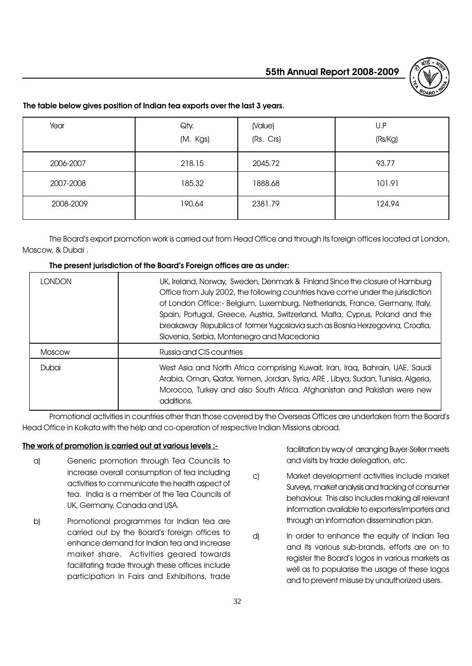

# The table below gives position of Indian tea exports over the last 3 years.

| Year      | Qty.<br>(M. Kgs) | (Value)<br>(Rs. Crs) | U.P<br>(Rs/Kg) |
|-----------|------------------|----------------------|----------------|
| 2006-2007 | 218.15           | 2045.72              | 93.77          |
| 2007-2008 | 185.32           | 1888.68              | 101.91         |
| 2008-2009 | 190.64           | 2381.79              | 124.94         |

The Board's export promotion work is carried out from Head Office and through its foreign offices located at London, Moscow, & Dubai .

#### The present jurisdiction of the Board's Foreign offices are as under:

| I ONDON       | UK, Ireland, Norway, Sweden, Denmark & Finland Since the closure of Hamburg<br>Office from July 2002, the following countries have come under the jurisdiction<br>of London Office:- Belgium, Luxemburg, Netherlands, France, Germany, Italy,<br>Spain, Portugal, Greece, Austria, Switzerland, Malta, Cyprus, Poland and the<br>breakaway Republics of former Yugoslavia such as Bosnia Herzegovina, Croatia,<br>Slovenia, Serbia, Montenegro and Macedonia |
|---------------|--------------------------------------------------------------------------------------------------------------------------------------------------------------------------------------------------------------------------------------------------------------------------------------------------------------------------------------------------------------------------------------------------------------------------------------------------------------|
| <b>Moscow</b> | Russia and CIS countries                                                                                                                                                                                                                                                                                                                                                                                                                                     |
| Dubai         | West Asia and North Africa comprising Kuwait, Iran, Iraq, Bahrain, UAE, Saudi<br>Arabia, Oman, Qatar, Yemen, Jordan, Syria, ARE, Libya, Sudan, Tunisia, Algeria,<br>Morocco, Turkey and also South Africa. Afghanistan and Pakistan were new<br>additions.                                                                                                                                                                                                   |

Promotional activities in countries other than those covered by the Overseas Offices are undertaken from the Board's Head Office in Kolkata with the help and co-operation of respective Indian Missions abroad.

# The work of promotion is carried out at various levels :-

- a) Generic promotion through Tea Councils to increase overall consumption of tea including activities to communicate the health aspect of tea. India is a member of the Tea Councils of UK, Germany, Canada and USA.
- b) Promotional programmes for Indian tea are carried out by the Board's foreign offices to enhance demand for Indian tea and increase market share. Activities geared towards facilitating trade through these offices include participation in Fairs and Exhibitions, trade

facilitation by way of arranging Buyer-Seller meets and visits by trade delegation, etc.

- c) Market development activities include market Surveys, market analysis and tracking of consumer behaviour. This also includes making all relevant information available to exporters/importers and through an information dissemination plan.
- d) In order to enhance the equity of Indian Tea and its various sub-brands, efforts are on to register the Board's logos in various markets as well as to popularise the usage of these logos and to prevent misuse by unauthorized users.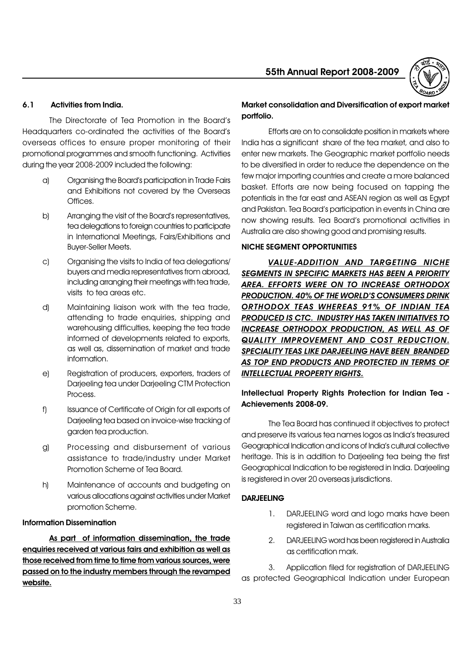

### 6.1 Activities from India.

The Directorate of Tea Promotion in the Board's Headquarters co-ordinated the activities of the Board's overseas offices to ensure proper monitoring of their promotional programmes and smooth functioning. Activities during the year 2008-2009 included the following:

- a) Organising the Board's participation in Trade Fairs and Exhibitions not covered by the Overseas Offices.
- b) Arranging the visit of the Board's representatives, tea delegations to foreign countries to participate in International Meetings, Fairs/Exhibitions and Buyer-Seller Meets.
- c) Organising the visits to India of tea delegations/ buyers and media representatives from abroad, including arranging their meetings with tea trade, visits to tea areas etc.
- d) Maintaining liaison work with the tea trade, attending to trade enquiries, shipping and warehousing difficulties, keeping the tea trade informed of developments related to exports, as well as, dissemination of market and trade information.
- e) Registration of producers, exporters, traders of Darjeeling tea under Darjeeling CTM Protection Process.
- f) Issuance of Certificate of Origin for all exports of Darjeeling tea based on invoice-wise tracking of garden tea production.
- g) Processing and disbursement of various assistance to trade/industry under Market Promotion Scheme of Tea Board.
- h) Maintenance of accounts and budgeting on various allocations against activities under Market promotion Scheme.

### Information Dissemination

As part of information dissemination, the trade enquiries received at various fairs and exhibition as well as those received from time to time from various sources, were passed on to the industry members through the revamped website.

# Market consolidation and Diversification of export market portfolio.

Efforts are on to consolidate position in markets where India has a significant share of the tea market, and also to enter new markets. The Geographic market portfolio needs to be diversified in order to reduce the dependence on the few major importing countries and create a more balanced basket. Efforts are now being focused on tapping the potentials in the far east and ASEAN region as well as Egypt and Pakistan. Tea Board's participation in events in China are now showing results. Tea Board's promotional activities in Australia are also showing good and promising results.

#### NICHE SEGMENT OPPORTUNITIES

VALUE-ADDITION AND TARGETING NICHE SEGMENTS IN SPECIFIC MARKETS HAS BEEN A PRIORITY AREA. EFFORTS WERE ON TO INCREASE ORTHODOX PRODUCTION. 40% OF THE WORLD'S CONSUMERS DRINK ORTHODOX TEAS WHEREAS 91% OF INDIAN TEA PRODUCED IS CTC. INDUSTRY HAS TAKEN INITIATIVES TO INCREASE ORTHODOX PRODUCTION, AS WELL AS OF QUALITY IMPROVEMENT AND COST REDUCTION. SPECIALITY TEAS LIKE DARJEELING HAVE BEEN BRANDED AS TOP END PRODUCTS AND PROTECTED IN TERMS OF INTELLECTUAL PROPERTY RIGHTS.

# Intellectual Property Rights Protection for Indian Tea - Achievements 2008-09.

The Tea Board has continued it objectives to protect and preserve its various tea names logos as India's treasured Geographical Indication and icons of India's cultural collective heritage. This is in addition to Darjeeling tea being the first Geographical Indication to be registered in India. Darjeeling is registered in over 20 overseas jurisdictions.

### DARJEELING

- 1. DARJEELING word and logo marks have been registered in Taiwan as certification marks.
- 2. DARJEELING word has been registered in Australia as certification mark.

3. Application filed for registration of DARJEELING as protected Geographical Indication under European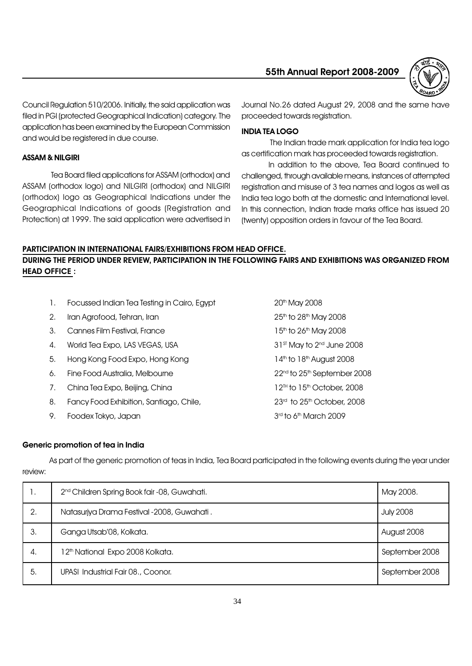

Council Regulation 510/2006. Initially, the said application was filed in PGI (protected Geographical Indication) category. The application has been examined by the European Commission and would be registered in due course.

# ASSAM & NILGIRI

Tea Board filed applications for ASSAM (orthodox) and ASSAM (orthodox logo) and NILGIRI (orthodox) and NILGIRI (orthodox) logo as Geographical Indications under the Geographical Indications of goods (Registration and Protection) at 1999. The said application were advertised in Journal No.26 dated August 29, 2008 and the same have proceeded towards registration.

### INDIA TEA LOGO

The Indian trade mark application for India tea logo as certification mark has proceeded towards registration.

In addition to the above, Tea Board continued to challenged, through available means, instances of attempted registration and misuse of 3 tea names and logos as well as India tea logo both at the domestic and International level. In this connection, Indian trade marks office has issued 20 (twenty) opposition orders in favour of the Tea Board.

#### PARTICIPATION IN INTERNATIONAL FAIRS/EXHIBITIONS FROM HEAD OFFICE.

# DURING THE PERIOD UNDER REVIEW, PARTICIPATION IN THE FOLLOWING FAIRS AND EXHIBITIONS WAS ORGANIZED FROM HEAD OFFICE :

| Τ. | Focussed Indian Tea Testing in Cairo, Egypt | 20th May 2008                                       |
|----|---------------------------------------------|-----------------------------------------------------|
| 2. | Iran Agrofood, Tehran, Iran                 | $25th$ to $28th$ May 2008                           |
| З. | Cannes Film Festival, France                | 15 <sup>th</sup> to 26 <sup>th</sup> May 2008       |
| 4. | World Tea Expo, LAS VEGAS, USA              | $31st$ May to $2nd$ June 2008                       |
| 5. | Hong Kong Food Expo, Hong Kong              | $14th$ to $18th$ August 2008                        |
| 6. | Fine Food Australia, Melbourne              | 22 <sup>nd</sup> to 25 <sup>th</sup> September 2008 |
| 7. | China Tea Expo, Beijing, China              | $12^{\text{th}}$ to $15^{\text{th}}$ October, 2008  |
| 8. | Fancy Food Exhibition, Santiago, Chile,     | $23rd$ to $25th$ October, 2008                      |
| 9. | Foodex Tokyo, Japan                         | $3rd$ to 6 <sup>th</sup> March 2009                 |
|    |                                             |                                                     |

# Generic promotion of tea in India

As part of the generic promotion of teas in India, Tea Board participated in the following events during the year under review:

| Ι.  | 2 <sup>nd</sup> Children Spring Book fair -08, Guwahati. | May 2008.        |
|-----|----------------------------------------------------------|------------------|
| 2.  | Natasuriya Drama Festival -2008, Guwahati.               | <b>July 2008</b> |
| 3.  | Ganga Utsab'08, Kolkata.                                 | August 2008      |
| 4.  | 12th National Expo 2008 Kolkata.                         | September 2008   |
| -5. | UPASI Industrial Fair 08., Coonor.                       | September 2008   |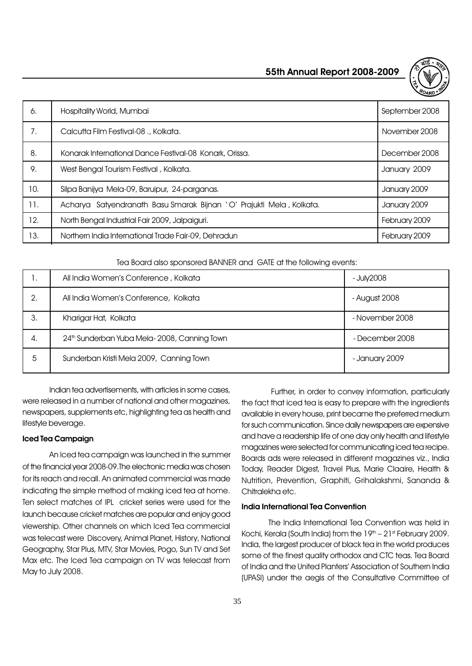

| 6.  | Hospitality World, Mumbai                                            | September 2008 |
|-----|----------------------------------------------------------------------|----------------|
| 7.  | Calcutta Film Festival-08 ., Kolkata.                                | November 2008  |
| 8.  | Konarak International Dance Festival-08 Konark, Orissa.              | December 2008  |
| 9.  | West Bengal Tourism Festival, Kolkata.                               | January 2009   |
| 10. | Silpa Banijya Mela-09, Baruipur, 24-parganas.                        | January 2009   |
| 11. | Acharya Satyendranath Basu Smarak Bijnan 'O' Prajukti Mela, Kolkata. | January 2009   |
| 12. | North Bengal Industrial Fair 2009, Jalpaiguri.                       | February 2009  |
| 13. | Northern India International Trade Fair-09, Dehradun                 | February 2009  |

Tea Board also sponsored BANNER and GATE at the following events:

|    | All India Women's Conference, Kolkata       | - July2008      |
|----|---------------------------------------------|-----------------|
| 2. | All India Women's Conference, Kolkata       | - August 2008   |
| 3. | Kharigar Hat, Kolkata                       | - November 2008 |
| 4. | 24th Sunderban Yuba Mela-2008, Canning Town | - December 2008 |
| 5  | Sunderban Kristi Mela 2009, Canning Town    | - January 2009  |

Indian tea advertisements, with articles in some cases, were released in a number of national and other magazines, newspapers, supplements etc, highlighting tea as health and lifestyle beverage.

#### Iced Tea Campaign

An Iced tea campaign was launched in the summer of the financial year 2008-09.The electronic media was chosen for its reach and recall. An animated commercial was made indicating the simple method of making iced tea at home. Ten select matches of IPL cricket series were used for the launch because cricket matches are popular and enjoy good viewership. Other channels on which Iced Tea commercial was telecast were Discovery, Animal Planet, History, National Geography, Star Plus, MTV, Star Movies, Pogo, Sun TV and Set Max etc. The Iced Tea campaign on TV was telecast from May to July 2008.

 Further, in order to convey information, particularly the fact that iced tea is easy to prepare with the ingredients available in every house, print became the preferred medium for such communication. Since daily newspapers are expensive and have a readership life of one day only health and lifestyle magazines were selected for communicating iced tea recipe. Boards ads were released in different magazines viz., India Today, Reader Digest, Travel Plus, Marie Claaire, Health & Nutrition, Prevention, Graphiti, Grihalakshmi, Sananda & Chitralekha etc.

#### India International Tea Convention

The India International Tea Convention was held in Kochi, Kerala (South India) from the 19th - 21st February 2009. India, the largest producer of black tea in the world produces some of the finest quality orthodox and CTC teas. Tea Board of India and the United Planters' Association of Southern India (UPASI) under the aegis of the Consultative Committee of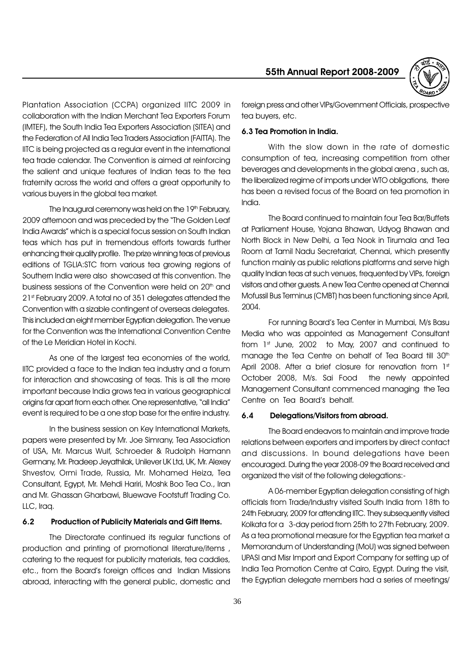

Plantation Association (CCPA) organized IITC 2009 in collaboration with the Indian Merchant Tea Exporters Forum (IMTEF), the South India Tea Exporters Association (SITEA) and the Federation of All India Tea Traders Association (FAITTA). The IITC is being projected as a regular event in the international tea trade calendar. The Convention is aimed at reinforcing the salient and unique features of Indian teas to the tea fraternity across the world and offers a great opportunity to various buyers in the global tea market.

The Inaugural ceremony was held on the 19th February, 2009 afternoon and was preceded by the "The Golden Leaf India Awards" which is a special focus session on South Indian teas which has put in tremendous efforts towards further enhancing their quality profile. The prize winning teas of previous editions of TGLIA:STC from various tea growing regions of Southern India were also showcased at this convention. The business sessions of the Convention were held on 20<sup>th</sup> and 21st February 2009. A total no of 351 delegates attended the Convention with a sizable contingent of overseas delegates. This included an eight member Egyptian delegation. The venue for the Convention was the International Convention Centre of the Le Meridian Hotel in Kochi.

As one of the largest tea economies of the world, IITC provided a face to the Indian tea industry and a forum for interaction and showcasing of teas. This is all the more important because India grows tea in various geographical origins far apart from each other. One representative, "all India" event is required to be a one stop base for the entire industry.

In the business session on Key International Markets, papers were presented by Mr. Joe Simrany, Tea Association of USA, Mr. Marcus Wulf, Schroeder & Rudolph Hamann Germany, Mr. Pradeep Jeyathilak, Unilever UK Ltd, UK, Mr. Alexey Shvestov, Ormi Trade, Russia, Mr. Mohamed Heiza, Tea Consultant, Egypt, Mr. Mehdi Hariri, Moshk Boo Tea Co., Iran and Mr. Ghassan Gharbawi, Bluewave Footstuff Trading Co. LLC, Iraq.

#### 6.2 Production of Publicity Materials and Gift Items.

The Directorate continued its regular functions of production and printing of promotional literature/items , catering to the request for publicity materials, tea caddies, etc., from the Board's foreign offices and Indian Missions abroad, interacting with the general public, domestic and

foreign press and other VIPs/Government Officials, prospective tea buyers, etc.

#### 6.3 Tea Promotion in India.

With the slow down in the rate of domestic consumption of tea, increasing competition from other beverages and developments in the global arena , such as, the liberalized regime of imports under WTO obligations, there has been a revised focus of the Board on tea promotion in India.

The Board continued to maintain four Tea Bar/Buffets at Parliament House, Yojana Bhawan, Udyog Bhawan and North Block in New Delhi, a Tea Nook in Tirumala and Tea Room at Tamil Nadu Secretariat, Chennai, which presently function mainly as public relations platforms and serve high quality Indian teas at such venues, frequented by VIPs, foreign visitors and other guests. A new Tea Centre opened at Chennai Mofussil Bus Terminus (CMBT) has been functioning since April, 2004.

For running Board's Tea Center in Mumbai, M/s Basu Media who was appointed as Management Consultant from  $1<sup>st</sup>$  June, 2002 to May, 2007 and continued to manage the Tea Centre on behalf of Tea Board till 30<sup>th</sup> April 2008. After a brief closure for renovation from 1st October 2008, M/s. Sai Food the newly appointed Management Consultant commenced managing the Tea Centre on Tea Board's behalf.

#### 6.4 Delegations/Visitors from abroad.

The Board endeavors to maintain and improve trade relations between exporters and importers by direct contact and discussions. In bound delegations have been encouraged. During the year 2008-09 the Board received and organized the visit of the following delegations:-

A 06-member Egyptian delegation consisting of high officials from Trade/Industry visited South India from 18th to 24th February, 2009 for attending IITC. They subsequently visited Kolkata for a 3-day period from 25th to 27th February, 2009. As a tea promotional measure for the Egyptian tea market a Memorandum of Understanding (MoU) was signed between UPASI and Misr Import and Export Company for setting up of India Tea Promotion Centre at Cairo, Egypt. During the visit, the Egyptian delegate members had a series of meetings/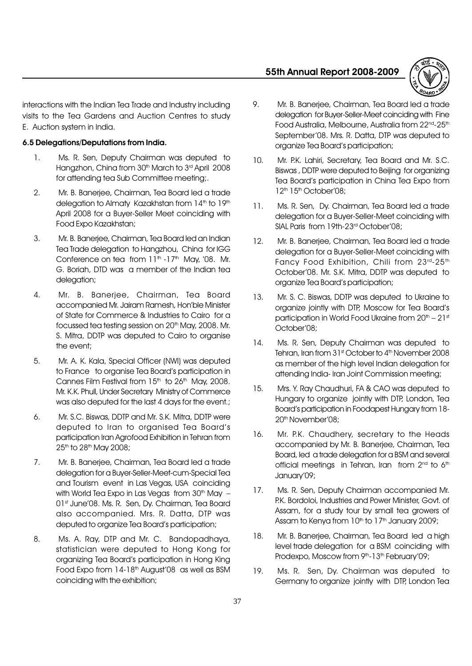

interactions with the Indian Tea Trade and Industry including visits to the Tea Gardens and Auction Centres to study E. Auction system in India.

# 6.5 Delegations/Deputations from India.

- 1. Ms. R. Sen, Deputy Chairman was deputed to Hangzhon, China from 30<sup>th</sup> March to 3<sup>rd</sup> April 2008 for attending tea Sub Committee meeting;.
- 2. Mr. B. Banerjee, Chairman, Tea Board led a trade delegation to Almaty Kazakhstan from 14<sup>th</sup> to 19<sup>th</sup> April 2008 for a Buyer-Seller Meet coinciding with Food Expo Kazakhstan;
- 3. Mr. B. Banerjee, Chairman, Tea Board led an Indian Tea Trade delegation to Hangzhou, China for IGG Conference on tea from  $11<sup>th</sup> -17<sup>th</sup>$  May, '08. Mr. G. Boriah, DTD was a member of the Indian tea delegation;
- 4. Mr. B. Banerjee, Chairman, Tea Board accompanied Mr. Jairam Ramesh, Hon'ble Minister of State for Commerce & Industries to Cairo for a focussed tea testing session on 20<sup>th</sup> May, 2008. Mr. S. Mitra, DDTP was deputed to Cairo to organise the event;
- 5. Mr. A. K. Kala, Special Officer (NWI) was deputed to France to organise Tea Board's participation in Cannes Film Festival from  $15<sup>th</sup>$  to  $26<sup>th</sup>$  May, 2008. Mr. K.K. Phull, Under Secretary Ministry of Commerce was also deputed for the last 4 days for the event.;
- 6. Mr. S.C. Biswas, DDTP and Mr. S.K. Mitra, DDTP were deputed to Iran to organised Tea Board's participation Iran Agrofood Exhibition in Tehran from 25<sup>th</sup> to 28<sup>th</sup> May 2008;
- 7. Mr. B. Banerjee, Chairman, Tea Board led a trade delegation for a Buyer-Seller-Meet-cum-Special Tea and Tourism event in Las Vegas, USA coinciding with World Tea Expo in Las Vegas from  $30<sup>th</sup>$  May  $-$ 01st June'08. Ms. R. Sen, Dy. Chairman, Tea Board also accompanied. Mrs. R. Datta, DTP was deputed to organize Tea Board's participation;
- 8. Ms. A. Ray, DTP and Mr. C. Bandopadhaya, statistician were deputed to Hong Kong for organizing Tea Board's participation in Hong King Food Expo from 14-18<sup>th</sup> August'08 as well as BSM coinciding with the exhibition;
- 9. Mr. B. Banerjee, Chairman, Tea Board led a trade delegation for Buyer-Seller-Meet coinciding with Fine Food Australia, Melbourne, Australia from 22<sup>nd</sup>-25<sup>th</sup> September'08. Mrs. R. Datta, DTP was deputed to organize Tea Board's participation;
- 10. Mr. P.K. Lahiri, Secretary, Tea Board and Mr. S.C. Biswas , DDTP were deputed to Beijing for organizing Tea Board's participation in China Tea Expo from 12<sup>th</sup> 15<sup>th</sup> October'08;
- 11. Ms. R. Sen, Dy. Chairman, Tea Board led a trade delegation for a Buyer-Seller-Meet coinciding with SIAL Paris from 19th-23<sup>rd</sup> October'08;
- 12. Mr. B. Banerjee, Chairman, Tea Board led a trade delegation for a Buyer-Seller-Meet coinciding with Fancy Food Exhibition, Chili from 23rd-25th October'08. Mr. S.K. Mitra, DDTP was deputed to organize Tea Board's participation;
- 13. Mr. S. C. Biswas, DDTP was deputed to Ukraine to organize jointly with DTP, Moscow for Tea Board's participation in World Food Ukraine from  $20<sup>th</sup> - 21<sup>st</sup>$ October'08;
- 14. Ms. R. Sen, Deputy Chairman was deputed to Tehran, Iran from 31st October to 4th November 2008 as member of the high level Indian delegation for attending India- Iran Joint Commission meeting;
- 15. Mrs. Y. Ray Chaudhuri, FA & CAO was deputed to Hungary to organize jointly with DTP, London, Tea Board's participation in Foodapest Hungary from 18-20<sup>th</sup> November'08;
- 16. Mr. P.K. Chaudhery, secretary to the Heads accompanied by Mr. B. Banerjee, Chairman, Tea Board, led a trade delegation for a BSM and several official meetings in Tehran, Iran from 2<sup>nd</sup> to 6<sup>th</sup> January'09;
- 17. Ms. R. Sen, Deputy Chairman accompanied Mr. P.K. Bordoloi, Industries and Power Minister, Govt. of Assam, for a study tour by small tea growers of Assam to Kenya from 10<sup>th</sup> to 17<sup>th</sup> January 2009;
- 18. Mr. B. Banerjee, Chairman, Tea Board led a high level trade delegation for a BSM coinciding with Prodexpo, Moscow from 9<sup>th</sup>-13<sup>th</sup> February'09;
- 19. Ms. R. Sen, Dy. Chairman was deputed to Germany to organize jointly with DTP, London Tea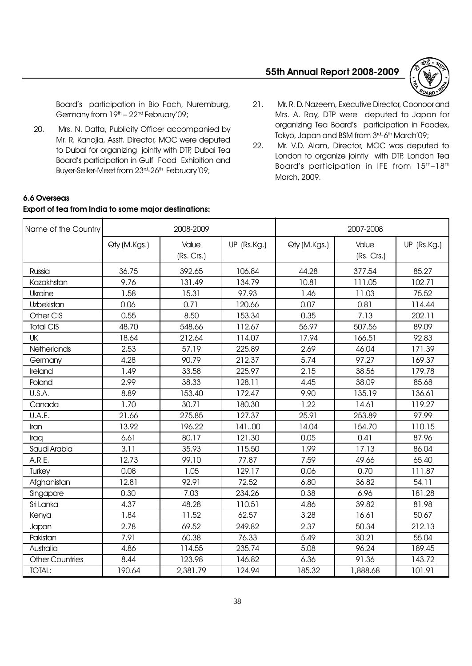

Board's participation in Bio Fach, Nuremburg, Germany from  $19<sup>th</sup> - 22<sup>nd</sup> February'09;$ 

20. Mrs. N. Datta, Publicity Officer accompanied by Mr. R. Kanojia, Asstt. Director, MOC were deputed to Dubai for organizing jointly with DTP, Dubai Tea Board's participation in Gulf Food Exhibition and Buyer-Seller-Meet from 23<sup>rd</sup>-26<sup>th</sup> February'09;

Export of tea from India to some major destinations:

6.6 Overseas

- 21. Mr. R. D. Nazeem, Executive Director, Coonoor and Mrs. A. Ray, DTP were deputed to Japan for organizing Tea Board's participation in Foodex, Tokyo, Japan and BSM from 3rd-6th March'09;
- 22. Mr. V.D. Alam, Director, MOC was deputed to London to organize jointly with DTP, London Tea Board's participation in IFE from 15<sup>th</sup>-18<sup>th</sup> March, 2009.

# Name of the Country 2008-2009 2007-2008 Qty (M.Kgs.) Value UP (Rs.Kg.) Qty (M.Kgs.) Value UP (Rs.Kg.) (Rs. Crs.) (Rs. Crs.) Russia | 36.75 | 392.65 | 106.84 | 44.28 | 377.54 | 85.27 Kazakhstan 9.76 131.49 134.79 10.81 111.05 102.71 Ukraine 1.58 15.31 97.93 1.46 11.03 75.52 Uzbekistan 0.06 0.71 120.66 0.07 0.81 114.44 Other CIS | 0.55 | 8.50 | 153.34 | 0.35 | 7.13 | 202.11 Total CIS | 48.70 | 548.66 | 1 12.67 | 56.97 | 507.56 | 89.09 UK 18.64 212.64 114.07 17.94 166.51 92.83 Netherlands | 2.53 | 57.19 | 225.89 | 2.69 | 46.04 | 171.39 Germany | 4.28 | 90.79 | 212.37 | 5.74 | 97.27 | 169.37 Ireland | 1.49 | 33.58 | 225.97 | 2.15 | 38.56 | 179.78 Poland 2.99 38.33 128.11 4.45 38.09 85.68 U.S.A. | 8.89 | 153.40 | 172.47 | 9.90 | 135.19 | 136.61 Canada 1.70 30.71 180.30 1.22 14.61 119.27 U.A.E. 21.66 275.85 127.37 25.91 253.89 97.99 Iran | 13.92 | 196.22 | 141..00 | 14.04 | 154.70 | 110.15 Iraq 6.61 80.17 121.30 0.05 0.41 87.96 Saudi Arabia | 3.11 | 35.93 | 115.50 | 1.99 | 17.13 | 86.04 A.R.E. 12.73 99.10 77.87 7.59 49.66 65.40 Turkey 0.08 1.05 129.17 0.06 0.70 111.87 Afghanistan | 12.81 | 92.91 | 72.52 | 6.80 | 36.82 | 54.11 Singapore | 0.30 | 7.03 | 234.26 | 0.38 | 6.96 | 181.28 Sri Lanka 4.37 48.28 110.51 4.86 39.82 81.98 Kenya | 1.84 | 11.52 | 62.57 | 3.28 | 16.61 | 50.67 Japan 2.78 69.52 249.82 2.37 50.34 212.13 Pakistan | 7.91 | 60.38 | 76.33 | 5.49 | 30.21 | 55.04 Australia | 4.86 | 114.55 | 235.74 | 5.08 | 96.24 | 189.45 Other Countries | 8.44 | 123.98 | 146.82 | 6.36 | 91.36 | 143.72 TOTAL: | 190.64 | 2,381.79 | 124.94 | 185.32 | 1,888.68 | 101.91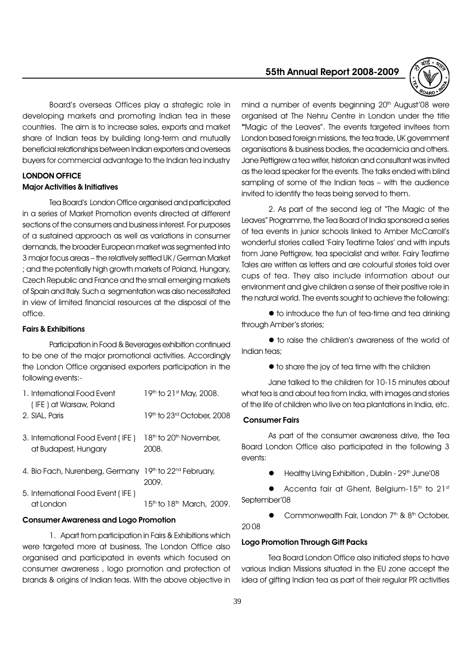Board's overseas Offices play a strategic role in developing markets and promoting Indian tea in these countries. The aim is to increase sales, exports and market share of Indian teas by building long-term and mutually beneficial relationships between Indian exporters and overseas buyers for commercial advantage to the Indian tea industry

# LONDON OFFICE Major Activities & Initiatives

Tea Board's London Office organised and participated in a series of Market Promotion events directed at different sections of the consumers and business interest. For purposes of a sustained approach as well as variations in consumer demands, the broader European market was segmented into 3 major focus areas - the relatively settled UK / German Market ; and the potentially high growth markets of Poland, Hungary, Czech Republic and France and the small emerging markets of Spain and Italy. Such a segmentation was also necessitated in view of limited financial resources at the disposal of the office.

### Fairs & Exhibitions

Participation in Food & Beverages exhibition continued to be one of the major promotional activities. Accordingly the London Office organised exporters participation in the following events:-

| 1. International Food Event<br>(IFE) at Warsaw, Poland    | 19th to 21st May, 2008.                                 |
|-----------------------------------------------------------|---------------------------------------------------------|
| 2. SIAL, Paris                                            | 19th to 23rd October, 2008                              |
| 3. International Food Event (IFE)<br>at Budapest, Hungary | 18 <sup>th</sup> to 20 <sup>th</sup> November,<br>2008. |
| 4. Bio Fach, Nurenberg, Germany                           | 19th to 22 <sup>nd</sup> February,<br>2009.             |
| 5. International Food Event (IFE)<br>atlondon             | 1.5th to 1.8th March, 2009.                             |

# Consumer Awareness and Logo Promotion

1. Apart from participation in Fairs & Exhibitions which were targeted more at business, The London Office also organised and participated in events which focused on consumer awareness , logo promotion and protection of brands & origins of Indian teas. With the above objective in

### 55th Annual Report 2008-2009



mind a number of events beginning 20<sup>th</sup> August'08 were organised at The Nehru Centre in London under the title "Magic of the Leaves". The events targeted invitees from London based foreign missions, the tea trade, UK government organisations & business bodies, the academicia and others. Jane Pettigrew a tea writer, historian and consultant was invited as the lead speaker for the events. The talks ended with blind sampling of some of the Indian teas - with the audience invited to identify the teas being served to them.

2. As part of the second leg of The Magic of the Leaves" Programme, the Tea Board of India sponsored a series of tea events in junior schools linked to Amber McCarroll's wonderful stories called 'Fairy Teatime Tales' and with inputs from Jane Pettigrew, tea specialist and writer. Fairy Teatime Tales are written as letters and are colourful stories told over cups of tea. They also include information about our environment and give children a sense of their positive role in the natural world. The events sought to achieve the following:

 $\bullet$  to introduce the fun of tea-time and tea drinking through Amber's stories;

 $\bullet$  to raise the children's awareness of the world of Indian teas;

 $\bullet$  to share the joy of tea time with the children

Jane talked to the children for 10-15 minutes about what tea is and about tea from India, with images and stories of the life of children who live on tea plantations in India, etc.

### Consumer Fairs

As part of the consumer awareness drive, the Tea Board London Office also participated in the following 3 events:

Healthy Living Exhibition, Dublin - 29<sup>th</sup> June'08

Accenta fair at Ghent, Belgium-15<sup>th</sup> to 21st September'08

Commonwealth Fair, London 7<sup>th</sup> & 8<sup>th</sup> October,

20 08

# Logo Promotion Through Gift Packs

Tea Board London Office also initiated steps to have various Indian Missions situated in the EU zone accept the idea of gifting Indian tea as part of their regular PR activities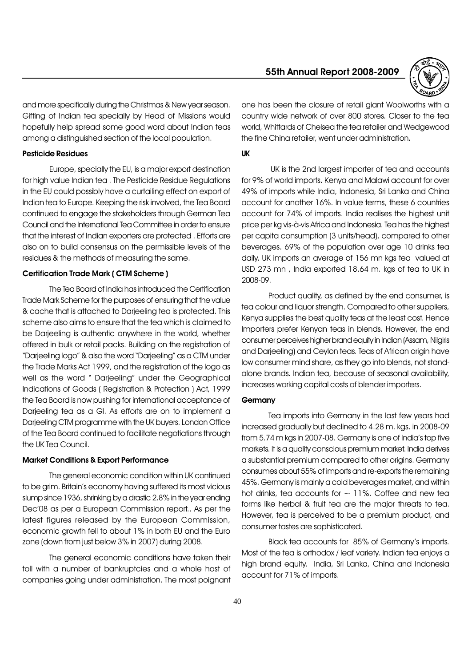

and more specifically during the Christmas & New year season. Gifting of Indian tea specially by Head of Missions would hopefully help spread some good word about Indian teas among a distinguished section of the local population.

#### Pesticide Residues

Europe, specially the EU, is a major export destination for high value Indian tea . The Pesticide Residue Regulations in the EU could possibly have a curtailing effect on export of Indian tea to Europe. Keeping the risk involved, the Tea Board continued to engage the stakeholders through German Tea Council and the International Tea Committee in order to ensure that the interest of Indian exporters are protected . Efforts are also on to build consensus on the permissible levels of the residues & the methods of measuring the same.

#### Certification Trade Mark ( CTM Scheme )

The Tea Board of India has introduced the Certification Trade Mark Scheme for the purposes of ensuring that the value & cache that is attached to Darjeeling tea is protected. This scheme also aims to ensure that the tea which is claimed to be Darjeeling is authentic anywhere in the world, whether offered in bulk or retail packs. Building on the registration of "Darjeeling logo" & also the word "Darjeeling" as a CTM under the Trade Marks Act 1999, and the registration of the logo as well as the word " Darjeeling" under the Geographical Indications of Goods ( Registration & Protection ) Act, 1999 the Tea Board is now pushing for international acceptance of Darjeeling tea as a GI. As efforts are on to implement a Darjeeling CTM programme with the UK buyers. London Office of the Tea Board continued to facilitate negotiations through the UK Tea Council.

#### Market Conditions & Export Performance

The general economic condition within UK continued to be grim. Britain's economy having suffered its most vicious slump since 1936, shrinking by a drastic 2.8% in the year ending Dec'08 as per a European Commission report.. As per the latest figures released by the European Commission, economic growth fell to about 1% in both EU and the Euro zone (down from just below 3% in 2007) during 2008.

The general economic conditions have taken their toll with a number of bankruptcies and a whole host of companies going under administration. The most poignant one has been the closure of retail giant Woolworths with a country wide network of over 800 stores. Closer to the tea world, Whittards of Chelsea the tea retailer and Wedgewood the fine China retailer, went under administration.

#### UK

 UK is the 2nd largest importer of tea and accounts for 9% of world imports. Kenya and Malawi account for over 49% of imports while India, Indonesia, Sri Lanka and China account for another 16%. In value terms, these 6 countries account for 74% of imports. India realises the highest unit price per kg vis-à-vis Africa and Indonesia. Tea has the highest per capita consumption (3 units/head), compared to other beverages. 69% of the population over age 10 drinks tea daily. UK imports an average of 156 mn kgs tea valued at USD 273 mn , India exported 18.64 m. kgs of tea to UK in 2008-09.

Product quality, as defined by the end consumer, is tea colour and liquor strength. Compared to other suppliers, Kenya supplies the best quality teas at the least cost. Hence Importers prefer Kenyan teas in blends. However, the end consumer perceives higher brand equity in Indian (Assam, Nilgiris and Darjeeling) and Ceylon teas. Teas of African origin have low consumer mind share, as they go into blends, not standalone brands. Indian tea, because of seasonal availability, increases working capital costs of blender importers.

#### **Germany**

Tea imports into Germany in the last few years had increased gradually but declined to 4.28 m. kgs. in 2008-09 from 5.74 m kgs in 2007-08. Germany is one of India's top five markets. It is a quality conscious premium market. India derives a substantial premium compared to other origins. Germany consumes about 55% of imports and re-exports the remaining 45%. Germany is mainly a cold beverages market, and within hot drinks, tea accounts for  $\sim$  11%. Coffee and new tea forms like herbal & fruit tea are the major threats to tea. However, tea is perceived to be a premium product, and consumer tastes are sophisticated.

Black tea accounts for 85% of Germany's imports. Most of the tea is orthodox / leaf variety. Indian tea enjoys a high brand equity. India, Sri Lanka, China and Indonesia account for 71% of imports.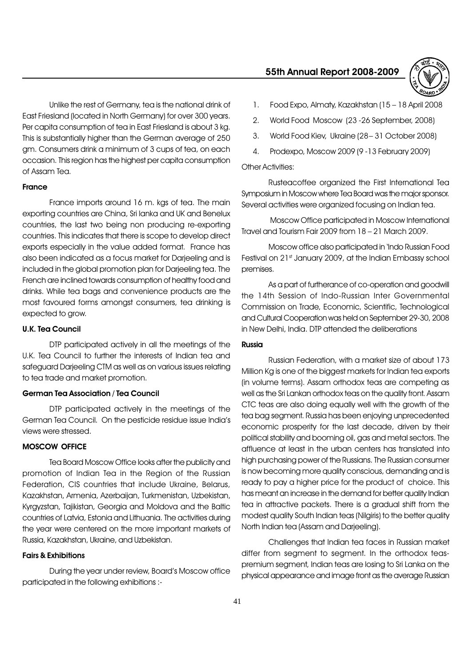Unlike the rest of Germany, tea is the national drink of East Friesland (located in North Germany) for over 300 years. Per capita consumption of tea in East Friesland is about 3 kg. This is substantially higher than the German average of 250 gm. Consumers drink a minimum of 3 cups of tea, on each occasion. This region has the highest per capita consumption of Assam Tea.

#### France

France imports around 16 m. kgs of tea. The main exporting countries are China, Sri lanka and UK and Benelux countries, the last two being non producing re-exporting countries. This indicates that there is scope to develop direct exports especially in the value added format. France has also been indicated as a focus market for Darjeeling and is included in the global promotion plan for Darjeeling tea. The French are inclined towards consumption of healthy food and drinks. While tea bags and convenience products are the most favoured forms amongst consumers, tea drinking is expected to grow.

### U.K. Tea Council

DTP participated actively in all the meetings of the U.K. Tea Council to further the interests of Indian tea and safeguard Darjeeling CTM as well as on various issues relating to tea trade and market promotion.

#### German Tea Association / Tea Council

DTP participated actively in the meetings of the German Tea Council. On the pesticide residue issue India's views were stressed.

#### MOSCOW OFFICE

Tea Board Moscow Office looks after the publicity and promotion of Indian Tea in the Region of the Russian Federation, CIS countries that include Ukraine, Belarus, Kazakhstan, Armenia, Azerbaijan, Turkmenistan, Uzbekistan, Kyrgyzstan, Tajikistan, Georgia and Moldova and the Baltic countries of Latvia, Estonia and Lithuania. The activities during the year were centered on the more important markets of Russia, Kazakhstan, Ukraine, and Uzbekistan.

#### Fairs & Exhibitions

During the year under review, Board's Moscow office participated in the following exhibitions :-

#### 55th Annual Report 2008-2009



- 1. Food Expo, Almaty, Kazakhstan (15 18 April 2008)
- 2. World Food Moscow (23 -26 September, 2008)
- 3. World Food Kiev, Ukraine (28 31 October 2008)
- 4. Prodexpo, Moscow 2009 (9 -13 February 2009)

## Other Activities:

Rusteacoffee organized the First International Tea Symposium in Moscow where Tea Board was the major sponsor. Several activities were organized focusing on Indian tea.

 Moscow Office participated in Moscow International Travel and Tourism Fair 2009 from 18 - 21 March 2009.

Moscow office also participated in 'Indo Russian Food Festival on 21st January 2009, at the Indian Embassy school premises.

As a part of furtherance of co-operation and goodwill the 14th Session of Indo-Russian Inter Governmental Commission on Trade, Economic, Scientific, Technological and Cultural Cooperation was held on September 29-30, 2008 in New Delhi, India. DTP attended the deliberations

#### Russia

Russian Federation, with a market size of about 173 Million Kg is one of the biggest markets for Indian tea exports (in volume terms). Assam orthodox teas are competing as well as the Sri Lankan orthodox teas on the quality front. Assam CTC teas are also doing equally well with the growth of the tea bag segment. Russia has been enjoying unprecedented economic prosperity for the last decade, driven by their political stability and booming oil, gas and metal sectors. The affluence at least in the urban centers has translated into high purchasing power of the Russians. The Russian consumer is now becoming more quality conscious, demanding and is ready to pay a higher price for the product of choice. This has meant an increase in the demand for better quality Indian tea in attractive packets. There is a gradual shift from the modest quality South Indian teas (Nilgiris) to the better quality North Indian tea (Assam and Darjeeling).

Challenges that Indian tea faces in Russian market differ from segment to segment. In the orthodox teaspremium segment, Indian teas are losing to Sri Lanka on the physical appearance and image front as the average Russian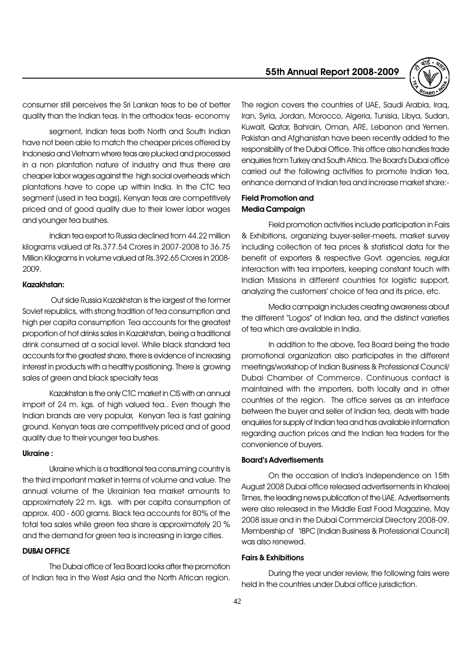consumer still perceives the Sri Lankan teas to be of better quality than the Indian teas. In the orthodox teas- economy

segment, Indian teas both North and South Indian have not been able to match the cheaper prices offered by Indonesia and Vietnam where teas are plucked and processed in a non plantation nature of industry and thus there are cheaper labor wages against the high social overheads which plantations have to cope up within India. In the CTC tea segment (used in tea bags), Kenyan teas are competitively priced and of good quality due to their lower labor wages and younger tea bushes.

Indian tea export to Russia declined from 44.22 million kilograms valued at Rs.377.54 Crores in 2007-2008 to 36.75 Million Kilograms in volume valued at Rs.392.65 Crores in 2008- 2009.

#### Kazakhstan:

 Out side Russia Kazakhstan is the largest of the former Soviet republics, with strong tradition of tea consumption and high per capita consumption Tea accounts for the greatest proportion of hot drinks sales in Kazakhstan, being a traditional drink consumed at a social level. While black standard tea accounts for the greatest share, there is evidence of increasing interest in products with a healthy positioning. There is growing sales of green and black specialty teas

Kazakhstan is the only CTC market in CIS with an annual import of 24 m. kgs. of high valued tea.. Even though the Indian brands are very popular, Kenyan Tea is fast gaining ground. Kenyan teas are competitively priced and of good quality due to their younger tea bushes.

#### Ukraine :

Ukraine which is a traditional tea consuming country is the third important market in terms of volume and value. The annual volume of the Ukrainian tea market amounts to approximately 22 m. kgs. with per capita consumption of approx. 400 - 600 grams. Black tea accounts for 80% of the total tea sales while green tea share is approximately 20 % and the demand for green tea is increasing in large cities.

#### DUBAI OFFICE

The Dubai office of Tea Board looks after the promotion of Indian tea in the West Asia and the North African region.

# 55th Annual Report 2008-2009



The region covers the countries of UAE, Saudi Arabia, Iraq, Iran, Syria, Jordan, Morocco, Algeria, Tunisia, Libya, Sudan, Kuwait, Qatar, Bahrain, Oman, ARE, Lebanon and Yemen. Pakistan and Afghanistan have been recently added to the responsibility of the Dubai Office. This office also handles trade enquiries from Turkey and South Africa. The Board's Dubai office carried out the following activities to promote Indian tea, enhance demand of Indian tea and increase market share:-

# Field Promotion and Media Campaign

Field promotion activities include participation in Fairs & Exhibitions, organizing buyer-seller-meets, market survey including collection of tea prices & statistical data for the benefit of exporters & respective Govt. agencies, regular interaction with tea importers, keeping constant touch with Indian Missions in different countries for logistic support, analyzing the customers' choice of tea and its price, etc.

Media campaign includes creating awareness about the different "Logos" of Indian tea, and the distinct varieties of tea which are available in India.

In addition to the above, Tea Board being the trade promotional organization also participates in the different meetings/workshop of Indian Business & Professional Council/ Dubai Chamber of Commerce. Continuous contact is maintained with the importers, both locally and in other countries of the region. The office serves as an interface between the buyer and seller of Indian tea, deals with trade enquiries for supply of Indian tea and has available information regarding auction prices and the Indian tea traders for the convenience of buyers.

#### **Board's Advertisements**

On the occasion of India's Independence on 15th August 2008 Dubai office released advertisements in Khaleej Times, the leading news publication of the UAE. Advertisements were also released in the Middle East Food Magazine, May 2008 issue and in the Dubai Commercial Directory 2008-09. Membership of 'IBPC (Indian Business & Professional Council) was also renewed.

#### Fairs & Exhibitions

During the year under review, the following fairs were held in the countries under Dubai office jurisdiction.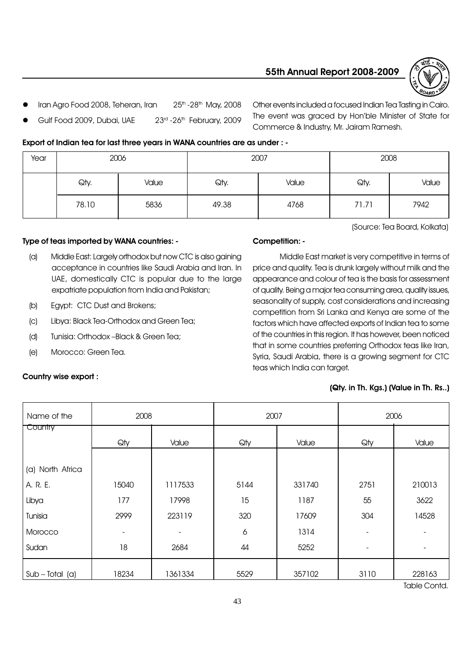



- lran Agro Food 2008, Teheran, Iran 25th -28th May, 2008
- Gulf Food 2009, Dubai, UAE 23rd -26th February, 2009

Other events included a focused Indian Tea Tasting in Cairo. The event was graced by Hon'ble Minister of State for Commerce & Industry, Mr. Jairam Ramesh.

# Export of Indian tea for last three years in WANA countries are as under : -

| Year | 2006  |       | 2007  |       | 2008  |       |
|------|-------|-------|-------|-------|-------|-------|
|      | Qty.  | Value | Qty.  | Value | Qty.  | Value |
|      | 78.10 | 5836  | 49.38 | 4768  | 71.71 | 7942  |

# Type of teas imported by WANA countries: -

- (a) Middle East: Largely orthodox but now CTC is also gaining acceptance in countries like Saudi Arabia and Iran. In UAE, domestically CTC is popular due to the large expatriate population from India and Pakistan;
- (b) Egypt: CTC Dust and Brokens;
- (c) Libya: Black Tea-Orthodox and Green Tea;
- (d) Tunisia: Orthodox Black & Green Tea;
- (e) Morocco: Green Tea.

# Country wise export :

# Competition: -

Middle East market is very competitive in terms of price and quality. Tea is drunk largely without milk and the appearance and colour of tea is the basis for assessment of quality. Being a major tea consuming area, quality issues, seasonality of supply, cost considerations and increasing competition from Sri Lanka and Kenya are some of the factors which have affected exports of Indian tea to some of the countries in this region. It has however, been noticed that in some countries preferring Orthodox teas like Iran, Syria, Saudi Arabia, there is a growing segment for CTC teas which India can target.

# (Qty. in Th. Kgs.) (Value in Th. Rs..)

| Name of the       | 2008  |         | 2007 |        |                | 2006   |
|-------------------|-------|---------|------|--------|----------------|--------|
| Country           | Qty   | Value   | Qty  | Value  | Qty            | Value  |
|                   |       |         |      |        |                |        |
| (a) North Africa  |       |         |      |        |                |        |
| A. R. E.          | 15040 | 1117533 | 5144 | 331740 | 2751           | 210013 |
| Libya             | 177   | 17998   | 15   | 1187   | 55             | 3622   |
| Tunisia           | 2999  | 223119  | 320  | 17609  | 304            | 14528  |
| Morocco           |       |         | 6    | 1314   |                |        |
| Sudan             | 18    | 2684    | 44   | 5252   | $\overline{a}$ |        |
| $Sub - Total (a)$ | 18234 | 1361334 | 5529 | 357102 | 3110           | 228163 |

(Source: Tea Board, Kolkata)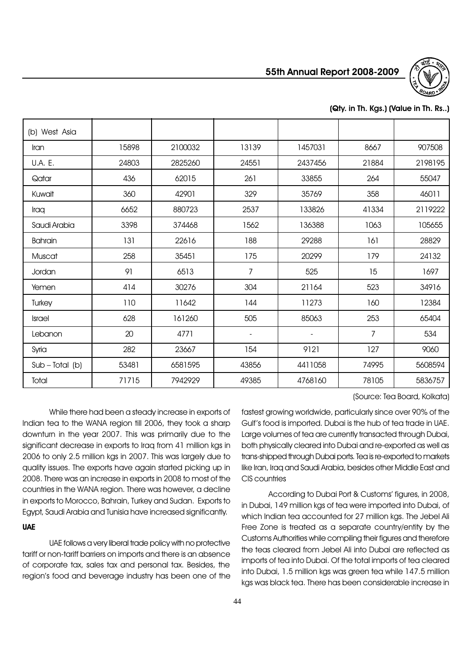



# (Qty. in Th. Kgs.) (Value in Th. Rs..)

| (b) West Asia     |       |         |       |         |       |         |
|-------------------|-------|---------|-------|---------|-------|---------|
| Iran              | 15898 | 2100032 | 13139 | 1457031 | 8667  | 907508  |
| U.A. E.           | 24803 | 2825260 | 24551 | 2437456 | 21884 | 2198195 |
| Qatar             | 436   | 62015   | 261   | 33855   | 264   | 55047   |
| Kuwait            | 360   | 42901   | 329   | 35769   | 358   | 46011   |
| Iraq              | 6652  | 880723  | 2537  | 133826  | 41334 | 2119222 |
| Saudi Arabia      | 3398  | 374468  | 1562  | 136388  | 1063  | 105655  |
| <b>Bahrain</b>    | 131   | 22616   | 188   | 29288   | 161   | 28829   |
| Muscat            | 258   | 35451   | 175   | 20299   | 179   | 24132   |
| Jordan            | 91    | 6513    | 7     | 525     | 15    | 1697    |
| Yemen             | 414   | 30276   | 304   | 21164   | 523   | 34916   |
| Turkey            | 110   | 11642   | 144   | 11273   | 160   | 12384   |
| <b>Israel</b>     | 628   | 161260  | 505   | 85063   | 253   | 65404   |
| Lebanon           | 20    | 4771    |       |         | 7     | 534     |
| Syria             | 282   | 23667   | 154   | 9121    | 127   | 9060    |
| $Sub - Total (b)$ | 53481 | 6581595 | 43856 | 4411058 | 74995 | 5608594 |
| Total             | 71715 | 7942929 | 49385 | 4768160 | 78105 | 5836757 |

(Source: Tea Board, Kolkata)

While there had been a steady increase in exports of Indian tea to the WANA region till 2006, they took a sharp downturn in the year 2007. This was primarily due to the significant decrease in exports to Iraq from 41 million kgs in 2006 to only 2.5 million kgs in 2007. This was largely due to quality issues. The exports have again started picking up in 2008. There was an increase in exports in 2008 to most of the countries in the WANA region. There was however, a decline in exports to Morocco, Bahrain, Turkey and Sudan. Exports to Egypt, Saudi Arabia and Tunisia have increased significantly.

# UAE

UAE follows a very liberal trade policy with no protective tariff or non-tariff barriers on imports and there is an absence of corporate tax, sales tax and personal tax. Besides, the region's food and beverage industry has been one of the fastest growing worldwide, particularly since over 90% of the Gulf's food is imported. Dubai is the hub of tea trade in UAE. Large volumes of tea are currently transacted through Dubai, both physically cleared into Dubai and re-exported as well as trans-shipped through Dubai ports. Tea is re-exported to markets like Iran, Iraq and Saudi Arabia, besides other Middle East and CIS countries

According to Dubai Port & Customs' figures, in 2008, in Dubai, 149 million kgs of tea were imported into Dubai, of which Indian tea accounted for 27 million kgs. The Jebel Ali Free Zone is treated as a separate country/entity by the Customs Authorities while compiling their figures and therefore the teas cleared from Jebel Ali into Dubai are reflected as imports of tea into Dubai. Of the total imports of tea cleared into Dubai, 1.5 million kgs was green tea while 147.5 million kgs was black tea. There has been considerable increase in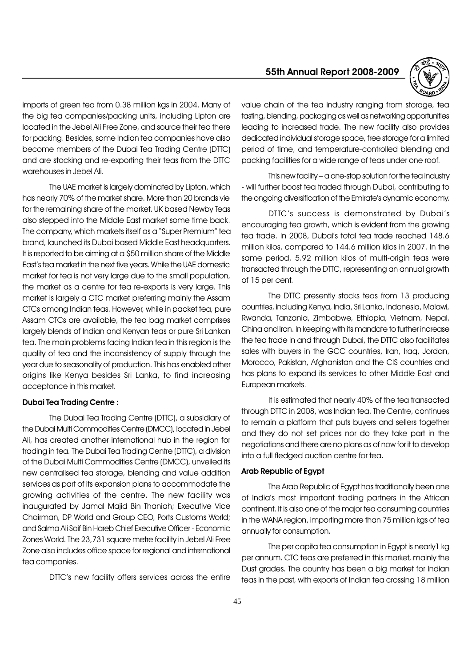imports of green tea from 0.38 million kgs in 2004. Many of the big tea companies/packing units, including Lipton are located in the Jebel Ali Free Zone, and source their tea there for packing. Besides, some Indian tea companies have also become members of the Dubai Tea Trading Centre (DTTC) and are stocking and re-exporting their teas from the DTTC warehouses in Jebel Ali.

The UAE market is largely dominated by Lipton, which has nearly 70% of the market share. More than 20 brands vie for the remaining share of the market. UK based Newby Teas also stepped into the Middle East market some time back. The company, which markets itself as a "Super Premium" tea brand, launched its Dubai based Middle East headquarters. It is reported to be aiming at a \$50 million share of the Middle East's tea market in the next five years. While the UAE domestic market for tea is not very large due to the small population, the market as a centre for tea re-exports is very large. This market is largely a CTC market preferring mainly the Assam CTCs among Indian teas. However, while in packet tea, pure Assam CTCs are available, the tea bag market comprises largely blends of Indian and Kenyan teas or pure Sri Lankan tea. The main problems facing Indian tea in this region is the quality of tea and the inconsistency of supply through the year due to seasonality of production. This has enabled other origins like Kenya besides Sri Lanka, to find increasing acceptance in this market.

#### Dubai Tea Trading Centre :

The Dubai Tea Trading Centre (DTTC), a subsidiary of the Dubai Multi Commodities Centre (DMCC), located in Jebel Ali, has created another international hub in the region for trading in tea. The Dubai Tea Trading Centre (DTTC), a division of the Dubai Multi Commodities Centre (DMCC), unveiled its new centralised tea storage, blending and value addition services as part of its expansion plans to accommodate the growing activities of the centre. The new facility was inaugurated by Jamal Majid Bin Thaniah; Executive Vice Chairman, DP World and Group CEO, Ports Customs World; and Salma Ali Saif Bin Hareb Chief Executive Officer - Economic Zones World. The 23,731 square metre facility in Jebel Ali Free Zone also includes office space for regional and international tea companies.

DTTC's new facility offers services across the entire

# 55th Annual Report 2008-2009



value chain of the tea industry ranging from storage, tea tasting, blending, packaging as well as networking opportunities leading to increased trade. The new facility also provides dedicated individual storage space, free storage for a limited period of time, and temperature-controlled blending and packing facilities for a wide range of teas under one roof.

This new facility  $-$  a one-stop solution for the tea industry - will further boost tea traded through Dubai, contributing to the ongoing diversification of the Emirate's dynamic economy.

DTTC's success is demonstrated by Dubai's encouraging tea growth, which is evident from the growing tea trade. In 2008, Dubai's total tea trade reached 148.6 million kilos, compared to 144.6 million kilos in 2007. In the same period, 5.92 million kilos of multi-origin teas were transacted through the DTTC, representing an annual growth of 15 per cent.

The DTTC presently stocks teas from 13 producing countries, including Kenya, India, Sri Lanka, Indonesia, Malawi, Rwanda, Tanzania, Zimbabwe, Ethiopia, Vietnam, Nepal, China and Iran. In keeping with its mandate to further increase the tea trade in and through Dubai, the DTTC also facilitates sales with buyers in the GCC countries, Iran, Iraq, Jordan, Morocco, Pakistan, Afghanistan and the CIS countries and has plans to expand its services to other Middle East and European markets.

It is estimated that nearly 40% of the tea transacted through DTTC in 2008, was Indian tea. The Centre, continues to remain a platform that puts buyers and sellers together and they do not set prices nor do they take part in the negotiations and there are no plans as of now for it to develop into a full fledged auction centre for tea.

#### Arab Republic of Egypt

The Arab Republic of Egypt has traditionally been one of India's most important trading partners in the African continent. It is also one of the major tea consuming countries in the WANA region, importing more than 75 million kgs of tea annually for consumption.

The per capita tea consumption in Egypt is nearly1 kg per annum. CTC teas are preferred in this market, mainly the Dust grades. The country has been a big market for Indian teas in the past, with exports of Indian tea crossing 18 million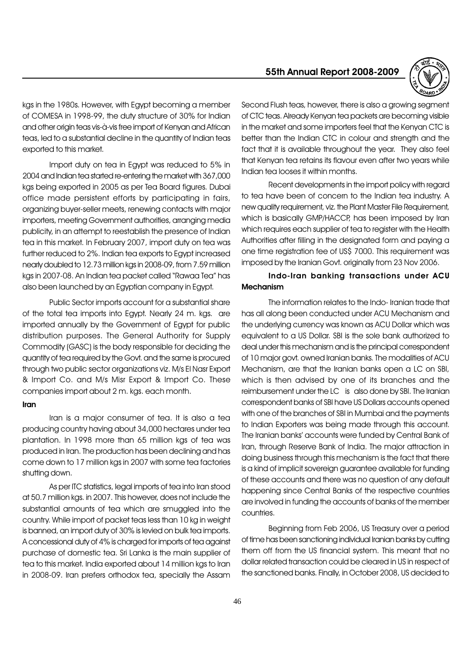55th Annual Report 2008-2009



kgs in the 1980s. However, with Egypt becoming a member of COMESA in 1998-99, the duty structure of 30% for Indian and other origin teas vis-à-vis free import of Kenyan and African teas, led to a substantial decline in the quantity of Indian teas exported to this market.

Import duty on tea in Egypt was reduced to 5% in 2004 and Indian tea started re-entering the market with 367,000 kgs being exported in 2005 as per Tea Board figures. Dubai office made persistent efforts by participating in fairs, organizing buyer-seller meets, renewing contacts with major importers, meeting Government authorities, arranging media publicity, in an attempt to reestablish the presence of Indian tea in this market. In February 2007, import duty on tea was further reduced to 2%. Indian tea exports to Egypt increased nearly doubled to 12.73 million kgs in 2008-09, from 7.59 million kgs in 2007-08. An Indian tea packet called "Rawaa Tea" has also been launched by an Egyptian company in Egypt.

Public Sector imports account for a substantial share of the total tea imports into Egypt. Nearly 24 m. kgs. are imported annually by the Government of Egypt for public distribution purposes. The General Authority for Supply Commodity (GASC) is the body responsible for deciding the quantity of tea required by the Govt. and the same is procured through two public sector organizations viz. M/s El Nasr Export & Import Co. and M/s Misr Export & Import Co. These companies import about 2 m. kgs. each month.

#### Iran

Iran is a major consumer of tea. It is also a tea producing country having about 34,000 hectares under tea plantation. In 1998 more than 65 million kgs of tea was produced in Iran. The production has been declining and has come down to 17 million kgs in 2007 with some tea factories shutting down.

As per ITC statistics, legal imports of tea into Iran stood at 50.7 million kgs. in 2007. This however, does not include the substantial amounts of tea which are smuggled into the country. While import of packet teas less than 10 kg in weight is banned, an import duty of 30% is levied on bulk tea imports. A concessional duty of 4% is charged for imports of tea against purchase of domestic tea. Sri Lanka is the main supplier of tea to this market. India exported about 14 million kgs to Iran in 2008-09. Iran prefers orthodox tea, specially the Assam

Second Flush teas, however, there is also a growing segment of CTC teas. Already Kenyan tea packets are becoming visible in the market and some importers feel that the Kenyan CTC is better than the Indian CTC in colour and strength and the fact that it is available throughout the year. They also feel that Kenyan tea retains its flavour even after two years while Indian tea looses it within months.

Recent developments in the import policy with regard to tea have been of concern to the Indian tea industry. A new quality requirement, viz. the Plant Master File Requirement, which is basically GMP/HACCP, has been imposed by Iran which requires each supplier of tea to register with the Health Authorities after filling in the designated form and paying a one time registration fee of US\$ 7000. This requirement was imposed by the Iranian Govt. originally from 23 Nov 2006.

# Indo-Iran banking transactions under ACU Mechanism

The information relates to the Indo- Iranian trade that has all along been conducted under ACU Mechanism and the underlying currency was known as ACU Dollar which was equivalent to a US Dollar. SBI is the sole bank authorized to deal under this mechanism and is the principal correspondent of 10 major govt. owned Iranian banks. The modalities of ACU Mechanism, are that the Iranian banks open a LC on SBI, which is then advised by one of its branches and the reimbursement under the LC is also done by SBI. The Iranian correspondent banks of SBI have US Dollars accounts opened with one of the branches of SBI in Mumbai and the payments to Indian Exporters was being made through this account. The Iranian banks' accounts were funded by Central Bank of Iran, through Reserve Bank of India. The major attraction in doing business through this mechanism is the fact that there is a kind of implicit sovereign guarantee available for funding of these accounts and there was no question of any default happening since Central Banks of the respective countries are involved in funding the accounts of banks of the member countries.

Beginning from Feb 2006, US Treasury over a period of time has been sanctioning individual Iranian banks by cutting them off from the US financial system. This meant that no dollar related transaction could be cleared in US in respect of the sanctioned banks. Finally, in October 2008, US decided to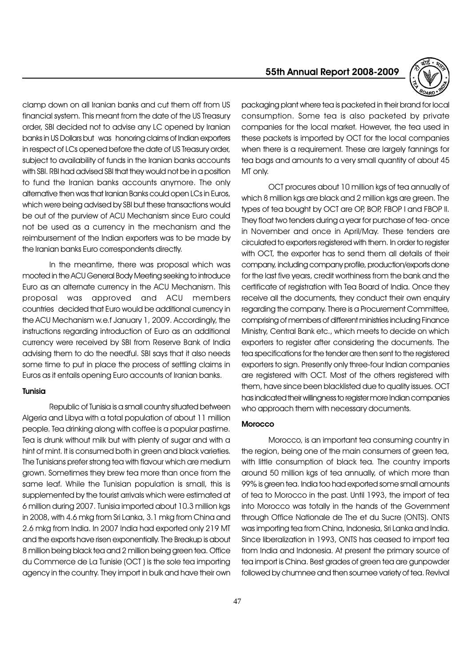55th Annual Report 2008-2009



clamp down on all Iranian banks and cut them off from US financial system. This meant from the date of the US Treasury order, SBI decided not to advise any LC opened by Iranian banks in US Dollars but was honoring claims of Indian exporters in respect of LCs opened before the date of US Treasury order, subject to availability of funds in the Iranian banks accounts with SBI. RBI had advised SBI that they would not be in a position to fund the Iranian banks accounts anymore. The only alternative then was that Iranian Banks could open LCs in Euros, which were being advised by SBI but these transactions would be out of the purview of ACU Mechanism since Euro could not be used as a currency in the mechanism and the reimbursement of the Indian exporters was to be made by the Iranian banks Euro correspondents directly.

In the meantime, there was proposal which was mooted in the ACU General Body Meeting seeking to introduce Euro as an alternate currency in the ACU Mechanism. This proposal was approved and ACU members countries decided that Euro would be additional currency in the ACU Mechanism w.e.f January 1, 2009. Accordingly, the instructions regarding introduction of Euro as an additional currency were received by SBI from Reserve Bank of India advising them to do the needful. SBI says that it also needs some time to put in place the process of settling claims in Euros as it entails opening Euro accounts of Iranian banks.

#### Tunisia

Republic of Tunisia is a small country situated between Algeria and Libya with a total population of about 11 million people. Tea drinking along with coffee is a popular pastime. Tea is drunk without milk but with plenty of sugar and with a hint of mint. It is consumed both in green and black varieties. The Tunisians prefer strong tea with flavour which are medium grown. Sometimes they brew tea more than once from the same leaf. While the Tunisian population is small, this is supplemented by the tourist arrivals which were estimated at 6 million during 2007. Tunisia imported about 10.3 million kgs in 2008, with 4.6 mkg from Sri Lanka, 3.1 mkg from China and 2.6 mkg from India. In 2007 India had exported only 219 MT and the exports have risen exponentially. The Breakup is about 8 million being black tea and 2 million being green tea. Office du Commerce de La Tunisie (OCT ) is the sole tea importing agency in the country. They import in bulk and have their own

packaging plant where tea is packeted in their brand for local consumption. Some tea is also packeted by private companies for the local market. However, the tea used in these packets is imported by OCT for the local companies when there is a requirement. These are largely fannings for tea bags and amounts to a very small quantity of about 45 MT only.

OCT procures about 10 million kgs of tea annually of which 8 million kgs are black and 2 million kgs are green. The types of tea bought by OCT are OP, BOP, FBOP I and FBOP II. They float two tenders during a year for purchase of tea- once in November and once in April/May. These tenders are circulated to exporters registered with them. In order to register with OCT, the exporter has to send them all details of their company, including company profile, production/exports done for the last five years, credit worthiness from the bank and the certificate of registration with Tea Board of India. Once they receive all the documents, they conduct their own enquiry regarding the company. There is a Procurement Committee, comprising of members of different ministries including Finance Ministry, Central Bank etc., which meets to decide on which exporters to register after considering the documents. The tea specifications for the tender are then sent to the registered exporters to sign. Presently only three-four Indian companies are registered with OCT. Most of the others registered with them, have since been blacklisted due to quality issues. OCT has indicated their willingness to register more Indian companies who approach them with necessary documents.

#### **Morocco**

Morocco, is an important tea consuming country in the region, being one of the main consumers of green tea, with little consumption of black tea. The country imports around 50 million kgs of tea annually, of which more than 99% is green tea. India too had exported some small amounts of tea to Morocco in the past. Until 1993, the import of tea into Morocco was totally in the hands of the Government through Office Nationale de The et du Sucre (ONTS). ONTS was importing tea from China, Indonesia, Sri Lanka and India. Since liberalization in 1993, ONTS has ceased to import tea from India and Indonesia. At present the primary source of tea import is China. Best grades of green tea are gunpowder followed by chumnee and then soumee variety of tea. Revival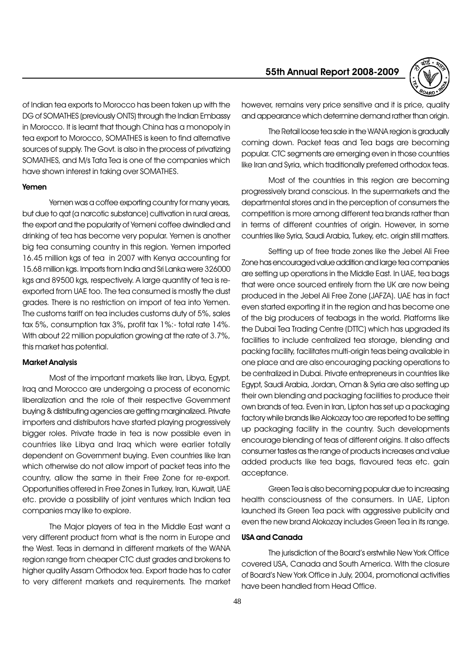of Indian tea exports to Morocco has been taken up with the DG of SOMATHES (previously ONTS) through the Indian Embassy in Morocco. It is learnt that though China has a monopoly in tea export to Morocco, SOMATHES is keen to find alternative sources of supply. The Govt. is also in the process of privatizing SOMATHES, and M/s Tata Tea is one of the companies which have shown interest in taking over SOMATHES.

#### Yemen

Yemen was a coffee exporting country for many years, but due to qat (a narcotic substance) cultivation in rural areas, the export and the popularity of Yemeni coffee dwindled and drinking of tea has become very popular. Yemen is another big tea consuming country in this region. Yemen imported 16.45 million kgs of tea in 2007 with Kenya accounting for 15.68 million kgs. Imports from India and Sri Lanka were 326000 kgs and 89500 kgs, respectively. A large quantity of tea is reexported from UAE too. The tea consumed is mostly the dust grades. There is no restriction on import of tea into Yemen. The customs tariff on tea includes customs duty of 5%, sales tax 5%, consumption tax 3%, profit tax 1%:- total rate 14%. With about 22 million population growing at the rate of 3.7%, this market has potential.

#### Market Analysis

Most of the important markets like Iran, Libya, Egypt, Iraq and Morocco are undergoing a process of economic liberalization and the role of their respective Government buying & distributing agencies are getting marginalized. Private importers and distributors have started playing progressively bigger roles. Private trade in tea is now possible even in countries like Libya and Iraq which were earlier totally dependent on Government buying. Even countries like Iran which otherwise do not allow import of packet teas into the country, allow the same in their Free Zone for re-export. Opportunities offered in Free Zones in Turkey, Iran, Kuwait, UAE etc. provide a possibility of joint ventures which Indian tea companies may like to explore.

The Major players of tea in the Middle East want a very different product from what is the norm in Europe and the West. Teas in demand in different markets of the WANA region range from cheaper CTC dust grades and brokens to higher quality Assam Orthodox tea. Export trade has to cater to very different markets and requirements. The market

# 55th Annual Report 2008-2009



however, remains very price sensitive and it is price, quality and appearance which determine demand rather than origin.

The Retail loose tea sale in the WANA region is gradually coming down. Packet teas and Tea bags are becoming popular. CTC segments are emerging even in those countries like Iran and Syria, which traditionally preferred orthodox teas.

Most of the countries in this region are becoming progressively brand conscious. In the supermarkets and the departmental stores and in the perception of consumers the competition is more among different tea brands rather than in terms of different countries of origin. However, in some countries like Syria, Saudi Arabia, Turkey, etc. origin still matters.

Setting up of free trade zones like the Jebel Ali Free Zone has encouraged value addition and large tea companies are setting up operations in the Middle East. In UAE, tea bags that were once sourced entirely from the UK are now being produced in the Jebel Ali Free Zone (JAFZA). UAE has in fact even started exporting it in the region and has become one of the big producers of teabags in the world. Platforms like the Dubai Tea Trading Centre (DTTC) which has upgraded its facilities to include centralized tea storage, blending and packing facility, facilitates multi-origin teas being available in one place and are also encouraging packing operations to be centralized in Dubai. Private entrepreneurs in countries like Egypt, Saudi Arabia, Jordan, Oman & Syria are also setting up their own blending and packaging facilities to produce their own brands of tea. Even in Iran, Lipton has set up a packaging factory while brands like Alokozay too are reported to be setting up packaging facility in the country. Such developments encourage blending of teas of different origins. It also affects consumer tastes as the range of products increases and value added products like tea bags, flavoured teas etc. gain acceptance.

Green Tea is also becoming popular due to increasing health consciousness of the consumers. In UAE, Lipton launched its Green Tea pack with aggressive publicity and even the new brand Alokozay includes Green Tea in its range.

#### USA and Canada

The jurisdiction of the Board's erstwhile New York Office covered USA, Canada and South America. With the closure of Board's New York Office in July, 2004, promotional activities have been handled from Head Office.